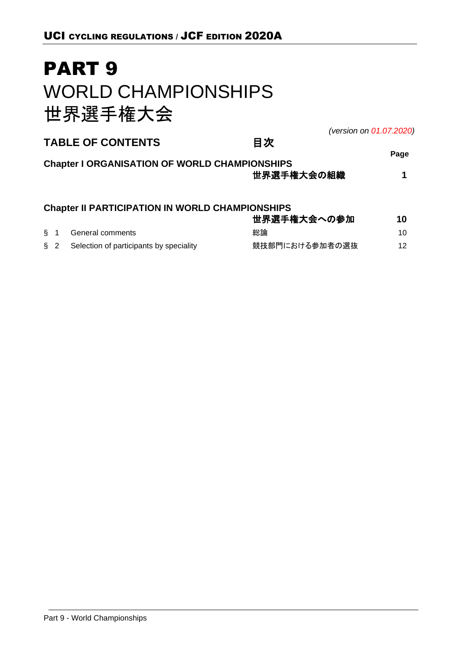# PART 9 WORLD CHAMPIONSHIPS 世界選手権大会

*(version on 01.07.2020)*

| <b>TABLE OF CONTENTS</b>                                                                                                                                                                                                          | 目次          |        |
|-----------------------------------------------------------------------------------------------------------------------------------------------------------------------------------------------------------------------------------|-------------|--------|
| <b>Chapter I ORGANISATION OF WORLD CHAMPIONSHIPS</b>                                                                                                                                                                              |             | Page   |
|                                                                                                                                                                                                                                   | 世界選手権大会の組織  |        |
| <b>Chapter II PARTICIPATION IN WORLD CHAMPIONSHIPS</b>                                                                                                                                                                            |             |        |
|                                                                                                                                                                                                                                   | 世界選手権大会への参加 | 10     |
| <b>C A</b> Construction of the Construction of the Construction of the Construction of the Construction of the Construction of the Construction of the Construction of the Construction of the Construction of the Construction o | かいこへ        | $\sim$ |

| S 1 | General comments                        | 総論             |  |
|-----|-----------------------------------------|----------------|--|
| § 2 | Selection of participants by speciality | 競技部門における参加者の選抜 |  |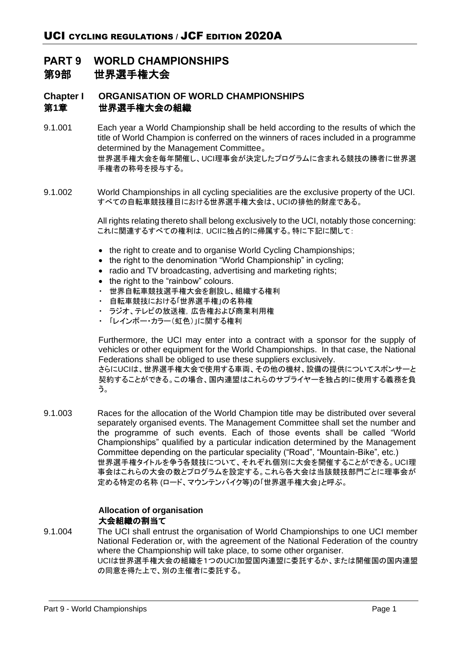# **PART 9 WORLD CHAMPIONSHIPS** 第**9**部 世界選手権大会

# **Chapter I ORGANISATION OF WORLD CHAMPIONSHIPS** 第**1**章 世界選手権大会の組織

- 9.1.001 Each year a World Championship shall be held according to the results of which the title of World Champion is conferred on the winners of races included in a programme determined by the Management Committee。 世界選手権大会を毎年開催し、UCI理事会が決定したプログラムに含まれる競技の勝者に世界選 手権者の称号を授与する。
- 9.1.002 World Championships in all cycling specialities are the exclusive property of the UCI. すべての自転車競技種目における世界選手権大会は、UCIの排他的財産である。

All rights relating thereto shall belong exclusively to the UCI, notably those concerning: これに関連するすべての権利は,UCIに独占的に帰属する。特に下記に関して:

- the right to create and to organise World Cycling Championships;
- the right to the denomination "World Championship" in cycling;
- radio and TV broadcasting, advertising and marketing rights;
- the right to the "rainbow" colours.
- ・ 世界自転車競技選手権大会を創設し、組織する権利
- ・ 自転車競技における「世界選手権」の名称権
- ・ ラジオ、テレビの放送権,広告権および商業利用権
- ・ 「レインボー・カラー(虹色)」に関する権利

Furthermore, the UCI may enter into a contract with a sponsor for the supply of vehicles or other equipment for the World Championships. In that case, the National Federations shall be obliged to use these suppliers exclusively.

さらにUCIは、世界選手権大会で使用する車両、その他の機材、設備の提供についてスポンサーと 契約することができる。この場合、国内連盟はこれらのサプライヤーを独占的に使用する義務を負 う。

9.1.003 Races for the allocation of the World Champion title may be distributed over several separately organised events. The Management Committee shall set the number and the programme of such events. Each of those events shall be called "World Championships" qualified by a particular indication determined by the Management Committee depending on the particular speciality ("Road", "Mountain-Bike", etc.) 世界選手権タイトルを争う各競技について、それぞれ個別に大会を開催することができる。UCI理 事会はこれらの大会の数とプログラムを設定する。これら各大会は当該競技部門ごとに理事会が 定める特定の名称 (ロード、マウンテンバイク等)の「世界選手権大会」と呼ぶ。

# **Allocation of organisation** 大会組織の割当て

9.1.004 The UCI shall entrust the organisation of World Championships to one UCI member National Federation or, with the agreement of the National Federation of the country where the Championship will take place, to some other organiser. UCIは世界選手権大会の組織を1つのUCI加盟国内連盟に委託するか、または開催国の国内連盟 の同意を得た上で、別の主催者に委託する。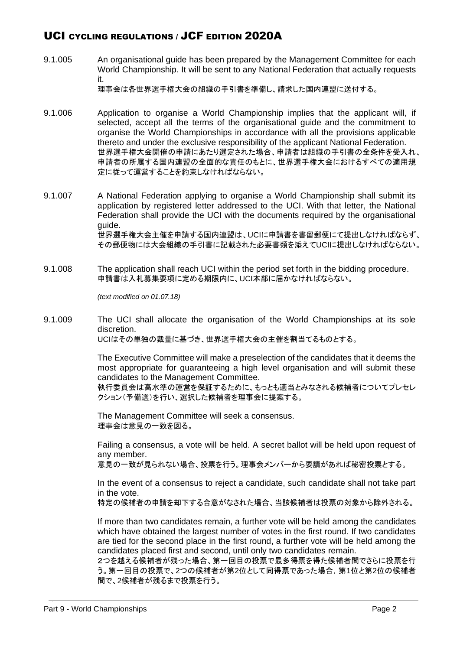9.1.005 An organisational guide has been prepared by the Management Committee for each World Championship. It will be sent to any National Federation that actually requests it.

理事会は各世界選手権大会の組織の手引書を準備し、請求した国内連盟に送付する。

- 9.1.006 Application to organise a World Championship implies that the applicant will, if selected, accept all the terms of the organisational guide and the commitment to organise the World Championships in accordance with all the provisions applicable thereto and under the exclusive responsibility of the applicant National Federation. 世界選手権大会開催の申請にあたり選定された場合、申請者は組織の手引書の全条件を受入れ、 申請者の所属する国内連盟の全面的な責任のもとに、世界選手権大会におけるすべての適用規 定に従って運営することを約束しなければならない。
- 9.1.007 A National Federation applying to organise a World Championship shall submit its application by registered letter addressed to the UCI. With that letter, the National Federation shall provide the UCI with the documents required by the organisational guide. 世界選手権大会主催を申請する国内連盟は、UCIに申請書を書留郵便にて提出しなければならず、 その郵便物には大会組織の手引書に記載された必要書類を添えてUCIに提出しなければならない。
- 9.1.008 The application shall reach UCI within the period set forth in the bidding procedure. 申請書は入札募集要項に定める期限内に、UCI本部に届かなければならない。

*(text modified on 01.07.18)*

9.1.009 The UCI shall allocate the organisation of the World Championships at its sole discretion. UCIはその単独の裁量に基づき、世界選手権大会の主催を割当てるものとする。

> The Executive Committee will make a preselection of the candidates that it deems the most appropriate for guaranteeing a high level organisation and will submit these candidates to the Management Committee.

> 執行委員会は高水準の運営を保証するために、もっとも適当とみなされる候補者についてプレセレ クション(予備選)を行い、選択した候補者を理事会に提案する。

The Management Committee will seek a consensus. 理事会は意見の一致を図る。

Failing a consensus, a vote will be held. A secret ballot will be held upon request of any member.

意見の一致が見られない場合、投票を行う。理事会メンバーから要請があれば秘密投票とする。

In the event of a consensus to reject a candidate, such candidate shall not take part in the vote.

特定の候補者の申請を却下する合意がなされた場合、当該候補者は投票の対象から除外される。

If more than two candidates remain, a further vote will be held among the candidates which have obtained the largest number of votes in the first round. If two candidates are tied for the second place in the first round, a further vote will be held among the candidates placed first and second, until only two candidates remain.

2つを越える候補者が残った場合、第一回目の投票で最多得票を得た候補者間でさらに投票を行 う。第一回目の投票で、2つの候補者が第2位として同得票であった場合,第1位と第2位の候補者 間で、2候補者が残るまで投票を行う。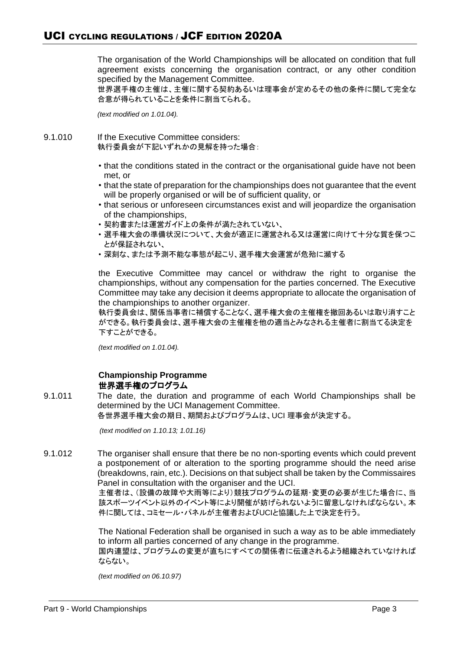The organisation of the World Championships will be allocated on condition that full agreement exists concerning the organisation contract, or any other condition specified by the Management Committee.

世界選手権の主催は、主催に関する契約あるいは理事会が定めるその他の条件に関して完全な 合意が得られていることを条件に割当てられる。

*(text modified on 1.01.04).*

- 9.1.010 If the Executive Committee considers: 執行委員会が下記いずれかの見解を持った場合:
	- that the conditions stated in the contract or the organisational guide have not been met, or
	- that the state of preparation for the championships does not guarantee that the event will be properly organised or will be of sufficient quality, or
	- that serious or unforeseen circumstances exist and will jeopardize the organisation of the championships,
	- 契約書または運営ガイド上の条件が満たされていない、
	- 選手権大会の準備状況について、大会が適正に運営される又は運営に向けて十分な質を保つこ とが保証されない、
	- 深刻な、または予測不能な事態が起こり、選手権大会運営が危殆に瀕する

the Executive Committee may cancel or withdraw the right to organise the championships, without any compensation for the parties concerned. The Executive Committee may take any decision it deems appropriate to allocate the organisation of the championships to another organizer.

執行委員会は、関係当事者に補償することなく、選手権大会の主催権を撤回あるいは取り消すこと ができる。執行委員会は、選手権大会の主催権を他の適当とみなされる主催者に割当てる決定を 下すことができる。

*(text modified on 1.01.04).*

# **Championship Programme** 世界選手権のプログラム

9.1.011 The date, the duration and programme of each World Championships shall be determined by the UCI Management Committee. 各世界選手権大会の期日、期間およびプログラムは、UCI 理事会が決定する。

*(text modified on 1.10.13; 1.01.16)*

9.1.012 The organiser shall ensure that there be no non-sporting events which could prevent a postponement of or alteration to the sporting programme should the need arise (breakdowns, rain, etc.). Decisions on that subject shall be taken by the Commissaires Panel in consultation with the organiser and the UCI.

> 主催者は、(設備の故障や大雨等により)競技プログラムの延期・変更の必要が生じた場合に、当 該スポーツイベント以外のイベント等により開催が妨げられないように留意しなければならない。本 件に関しては、コミセール・パネルが主催者およびUCIと協議した上で決定を行う。

> The National Federation shall be organised in such a way as to be able immediately to inform all parties concerned of any change in the programme. 国内連盟は、プログラムの変更が直ちにすべての関係者に伝達されるよう組織されていなければ

ならない。

*(text modified on 06.10.97)*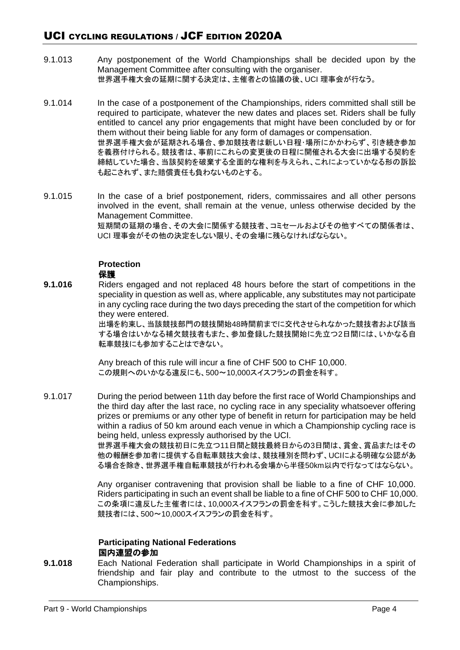- 9.1.013 Any postponement of the World Championships shall be decided upon by the Management Committee after consulting with the organiser. 世界選手権大会の延期に関する決定は、主催者との協議の後、UCI 理事会が行なう。
- 9.1.014 In the case of a postponement of the Championships, riders committed shall still be required to participate, whatever the new dates and places set. Riders shall be fully entitled to cancel any prior engagements that might have been concluded by or for them without their being liable for any form of damages or compensation. 世界選手権大会が延期される場合、参加競技者は新しい日程・場所にかかわらず、引き続き参加 を義務付けられる。競技者は、事前にこれらの変更後の日程に開催される大会に出場する契約を 締結していた場合、当該契約を破棄する全面的な権利を与えられ、これによっていかなる形の訴訟 も起こされず、また賠償責任も負わないものとする。
- 9.1.015 In the case of a brief postponement, riders, commissaires and all other persons involved in the event, shall remain at the venue, unless otherwise decided by the Management Committee. 短期間の延期の場合、その大会に関係する競技者、コミセールおよびその他すべての関係者は、 UCI 理事会がその他の決定をしない限り、その会場に残らなければならない。

#### **Protection** 保護

**9.1.016** Riders engaged and not replaced 48 hours before the start of competitions in the speciality in question as well as, where applicable, any substitutes may not participate in any cycling race during the two days preceding the start of the competition for which they were entered.

> 出場を約束し、当該競技部門の競技開始48時間前までに交代させられなかった競技者および該当 する場合はいかなる補欠競技者もまた、参加登録した競技開始に先立つ2日間には、いかなる自 転車競技にも参加することはできない。

Any breach of this rule will incur a fine of CHF 500 to CHF 10,000. この規則へのいかなる違反にも、500~10,000スイスフランの罰金を科す。

9.1.017 During the period between 11th day before the first race of World Championships and the third day after the last race, no cycling race in any speciality whatsoever offering prizes or premiums or any other type of benefit in return for participation may be held within a radius of 50 km around each venue in which a Championship cycling race is being held, unless expressly authorised by the UCI.

世界選手権大会の競技初日に先立つ11日間と競技最終日からの3日間は、賞金、賞品またはその 他の報酬を参加者に提供する自転車競技大会は、競技種別を問わず、UCIによる明確な公認があ る場合を除き、世界選手権自転車競技が行われる会場から半径50km以内で行なってはならない。

Any organiser contravening that provision shall be liable to a fine of CHF 10,000. Riders participating in such an event shall be liable to a fine of CHF 500 to CHF 10,000. この条項に違反した主催者には、10,000スイスフランの罰金を科す。こうした競技大会に参加した 競技者には、500~10,000スイスフランの罰金を科す。

# **Participating National Federations** 国内連盟の参加

**9.1.018** Each National Federation shall participate in World Championships in a spirit of friendship and fair play and contribute to the utmost to the success of the Championships.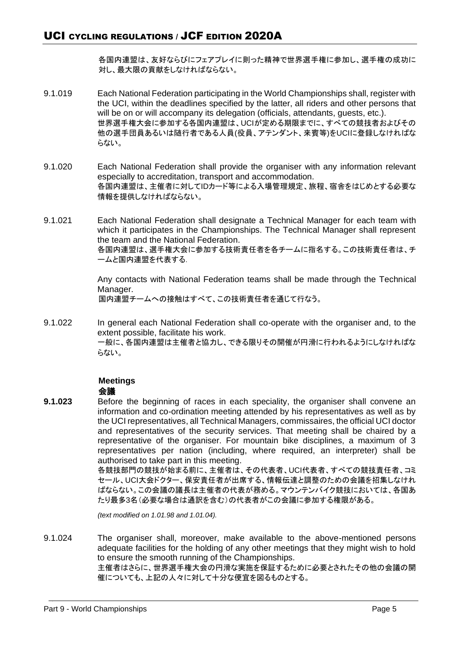各国内連盟は、友好ならびにフェアプレイに則った精神で世界選手権に参加し、選手権の成功に 対し、最大限の貢献をしなければならない。

- 9.1.019 Each National Federation participating in the World Championships shall, register with the UCI, within the deadlines specified by the latter, all riders and other persons that will be on or will accompany its delegation (officials, attendants, guests, etc.). 世界選手権大会に参加する各国内連盟は、UCIが定める期限までに、すべての競技者およびその 他の選手団員あるいは随行者である人員(役員、アテンダント、来賓等)をUCIに登録しなければな らない。
- 9.1.020 Each National Federation shall provide the organiser with any information relevant especially to accreditation, transport and accommodation. 各国内連盟は、主催者に対してIDカード等による入場管理規定、旅程、宿舎をはじめとする必要な 情報を提供しなければならない。
- 9.1.021 Each National Federation shall designate a Technical Manager for each team with which it participates in the Championships. The Technical Manager shall represent the team and the National Federation. 各国内連盟は、選手権大会に参加する技術責任者を各チームに指名する。この技術責任者は、チ ームと国内連盟を代表する.

Any contacts with National Federation teams shall be made through the Technical Manager.

国内連盟チームへの接触はすべて、この技術責任者を通じて行なう。

9.1.022 In general each National Federation shall co-operate with the organiser and, to the extent possible, facilitate his work. 一般に、各国内連盟は主催者と協力し、できる限りその開催が円滑に行われるようにしなければな らない。

# **Meetings**

# 会議

**9.1.023** Before the beginning of races in each speciality, the organiser shall convene an information and co-ordination meeting attended by his representatives as well as by the UCI representatives, all Technical Managers, commissaires, the official UCI doctor and representatives of the security services. That meeting shall be chaired by a representative of the organiser. For mountain bike disciplines, a maximum of 3 representatives per nation (including, where required, an interpreter) shall be authorised to take part in this meeting.

各競技部門の競技が始まる前に、主催者は、その代表者、UCI代表者、すべての競技責任者、コミ セール、UCI大会ドクター、保安責任者が出席する、情報伝達と調整のための会議を招集しなけれ ばならない。この会議の議長は主催者の代表が務める。マウンテンバイク競技においては、各国あ たり最多3名(必要な場合は通訳を含む)の代表者がこの会議に参加する権限がある。

*(text modified on 1.01.98 and 1.01.04).*

9.1.024 The organiser shall, moreover, make available to the above-mentioned persons adequate facilities for the holding of any other meetings that they might wish to hold to ensure the smooth running of the Championships. 主催者はさらに、世界選手権大会の円滑な実施を保証するために必要とされたその他の会議の開 催についても、上記の人々に対して十分な便宜を図るものとする。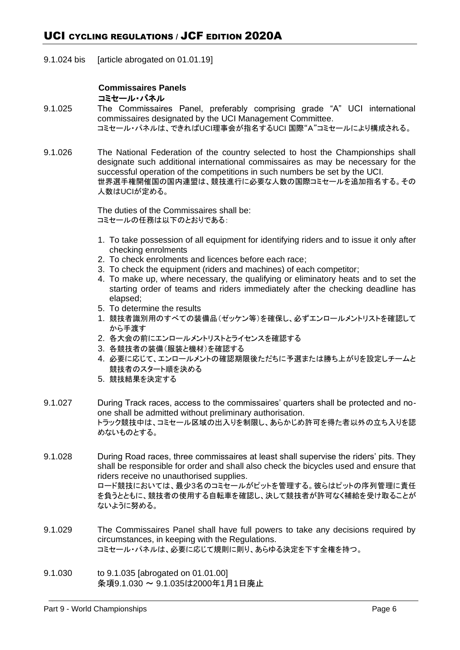9.1.024 bis [article abrogated on 01.01.19]

# **Commissaires Panels** コミセール・パネル

- 9.1.025 The Commissaires Panel, preferably comprising grade "A" UCI international commissaires designated by the UCI Management Committee. コミセール・パネルは、できればUCI理事会が指名するUCI 国際"A"コミセールにより構成される。
- 9.1.026 The National Federation of the country selected to host the Championships shall designate such additional international commissaires as may be necessary for the successful operation of the competitions in such numbers be set by the UCI. 世界選手権開催国の国内連盟は、競技進行に必要な人数の国際コミセールを追加指名する。その 人数はUCIが定める。

The duties of the Commissaires shall be: コミセールの任務は以下のとおりである:

- 1. To take possession of all equipment for identifying riders and to issue it only after checking enrolments
- 2. To check enrolments and licences before each race;
- 3. To check the equipment (riders and machines) of each competitor;
- 4. To make up, where necessary, the qualifying or eliminatory heats and to set the starting order of teams and riders immediately after the checking deadline has elapsed;
- 5. To determine the results
- 1. 競技者識別用のすべての装備品(ゼッケン等)を確保し、必ずエンロールメントリストを確認して から手渡す
- 2. 各大会の前にエンロールメントリストとライセンスを確認する
- 3. 各競技者の装備(服装と機材)を確認する
- 4. 必要に応じて、エンロールメントの確認期限後ただちに予選または勝ち上がりを設定しチームと 競技者のスタート順を決める
- 5. 競技結果を決定する
- 9.1.027 During Track races, access to the commissaires' quarters shall be protected and noone shall be admitted without preliminary authorisation. トラック競技中は、コミセール区域の出入りを制限し、あらかじめ許可を得た者以外の立ち入りを認 めないものとする。
- 9.1.028 During Road races, three commissaires at least shall supervise the riders' pits. They shall be responsible for order and shall also check the bicycles used and ensure that riders receive no unauthorised supplies. ロード競技においては、最少3名のコミセールがピットを管理する。彼らはピットの序列管理に責任 を負うとともに、競技者の使用する自転車を確認し、決して競技者が許可なく補給を受け取ることが ないように努める。
- 9.1.029 The Commissaires Panel shall have full powers to take any decisions required by circumstances, in keeping with the Regulations. コミセール・パネルは、必要に応じて規則に則り、あらゆる決定を下す全権を持つ。
- 9.1.030 to 9.1.035 [abrogated on 01.01.00] 条項9.1.030 ~ 9.1.035は2000年1月1日廃止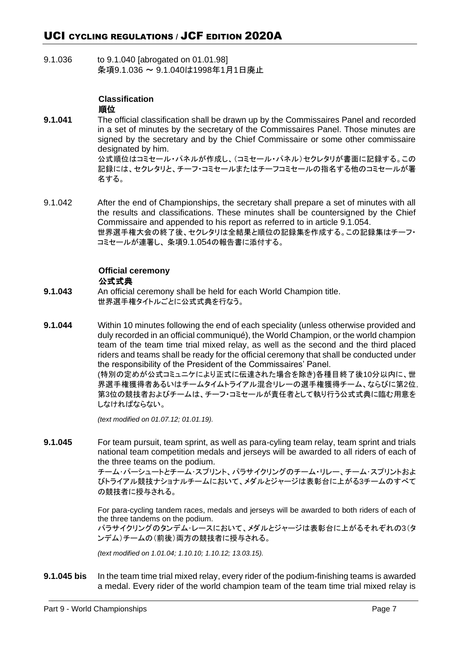9.1.036 to 9.1.040 [abrogated on 01.01.98] 条項9.1.036 ~ 9.1.040は1998年1月1日廃止

# **Classification** 順位

- **9.1.041** The official classification shall be drawn up by the Commissaires Panel and recorded in a set of minutes by the secretary of the Commissaires Panel. Those minutes are signed by the secretary and by the Chief Commissaire or some other commissaire designated by him. 公式順位はコミセール・パネルが作成し、(コミセール・パネル)セクレタリが書面に記録する。この 記録には、セクレタリと、チーフ・コミセールまたはチーフコミセールの指名する他のコミセールが署 名する。
- 9.1.042 After the end of Championships, the secretary shall prepare a set of minutes with all the results and classifications. These minutes shall be countersigned by the Chief Commissaire and appended to his report as referred to in article 9.1.054. 世界選手権大会の終了後、セクレタリは全結果と順位の記録集を作成する。この記録集はチーフ・ コミセールが連署し、 条項9.1.054の報告書に添付する。

# **Official ceremony** 公式式典

- **9.1.043** An official ceremony shall be held for each World Champion title. 世界選手権タイトルごとに公式式典を行なう。
- **9.1.044** Within 10 minutes following the end of each speciality (unless otherwise provided and duly recorded in an official communiqué), the World Champion, or the world champion team of the team time trial mixed relay, as well as the second and the third placed riders and teams shall be ready for the official ceremony that shall be conducted under the responsibility of the President of the Commissaires' Panel. (特別の定めが公式コミュニケにより正式に伝達された場合を除き)各種目終了後10分以内に、世

界選手権獲得者あるいはチームタイムトライアル混合リレーの選手権獲得チーム、ならびに第2位, 第3位の競技者およびチームは、チーフ・コミセールが責任者として執り行う公式式典に臨む用意を しなければならない。

*(text modified on 01.07.12; 01.01.19).*

**9.1.045** For team pursuit, team sprint, as well as para-cyling team relay, team sprint and trials national team competition medals and jerseys will be awarded to all riders of each of the three teams on the podium.

> チーム・パーシュートとチーム・スプリント、パラサイクリングのチーム・リレー、チーム・スプリントおよ びトライアル競技ナショナルチームにおいて、メダルとジャージは表彰台に上がる3チームのすべて の競技者に授与される。

> For para-cycling tandem races, medals and jerseys will be awarded to both riders of each of the three tandems on the podium.

> パラサイクリングのタンデム・レースにおいて、メダルとジャージは表彰台に上がるそれぞれの3(タ ンデム)チームの(前後)両方の競技者に授与される。

*(text modified on 1.01.04; 1.10.10; 1.10.12; 13.03.15).*

**9.1.045 bis** In the team time trial mixed relay, every rider of the podium-finishing teams is awarded a medal. Every rider of the world champion team of the team time trial mixed relay is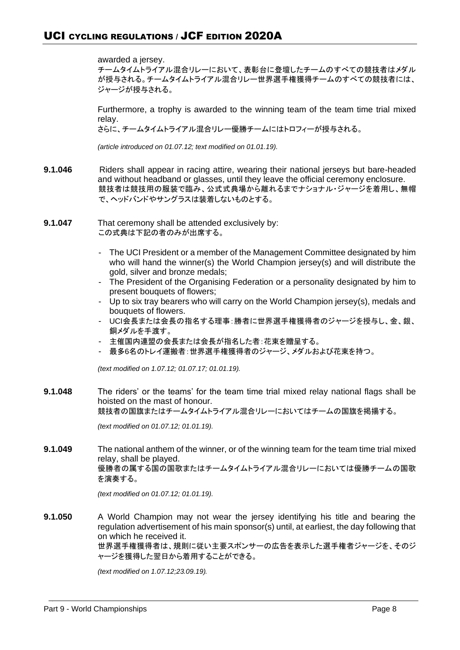awarded a jersey.

チームタイムトライアル混合リレーにおいて、表彰台に登壇したチームのすべての競技者はメダル が授与される。チームタイムトライアル混合リレー世界選手権獲得チームのすべての競技者には、 ジャージが授与される。

Furthermore, a trophy is awarded to the winning team of the team time trial mixed relay.

さらに、チームタイムトライアル混合リレー優勝チームにはトロフィーが授与される。

*(article introduced on 01.07.12; text modified on 01.01.19).*

- **9.1.046** Riders shall appear in racing attire, wearing their national jerseys but bare-headed and without headband or glasses, until they leave the official ceremony enclosure. 競技者は競技用の服装で臨み、公式式典場から離れるまでナショナル・ジャージを着用し、無帽 で、ヘッドバンドやサングラスは装着しないものとする。
- **9.1.047** That ceremony shall be attended exclusively by: この式典は下記の者のみが出席する。
	- The UCI President or a member of the Management Committee designated by him who will hand the winner(s) the World Champion jersey(s) and will distribute the gold, silver and bronze medals;
	- The President of the Organising Federation or a personality designated by him to present bouquets of flowers;
	- Up to six tray bearers who will carry on the World Champion jersey(s), medals and bouquets of flowers.
	- UCI会長または会長の指名する理事:勝者に世界選手権獲得者のジャージを授与し、金、銀、 銅メダルを手渡す。
	- 主催国内連盟の会長または会長が指名した者:花束を贈呈する。
	- 最多6名のトレイ運搬者:世界選手権獲得者のジャージ、メダルおよび花束を持つ。

*(text modified on 1.07.12; 01.07.17; 01.01.19).*

**9.1.048** The riders' or the teams' for the team time trial mixed relay national flags shall be hoisted on the mast of honour.

競技者の国旗またはチームタイムトライアル混合リレーにおいてはチームの国旗を掲揚する。

*(text modified on 01.07.12; 01.01.19).*

**9.1.049** The national anthem of the winner, or of the winning team for the team time trial mixed relay, shall be played. 優勝者の属する国の国歌またはチームタイムトライアル混合リレーにおいては優勝チームの国歌 を演奏する。

*(text modified on 01.07.12; 01.01.19).*

**9.1.050** A World Champion may not wear the jersey identifying his title and bearing the regulation advertisement of his main sponsor(s) until, at earliest, the day following that on which he received it. 世界選手権獲得者は、規則に従い主要スポンサーの広告を表示した選手権者ジャージを、そのジ ャージを獲得した翌日から着用することができる。

*(text modified on 1.07.12;23.09.19).*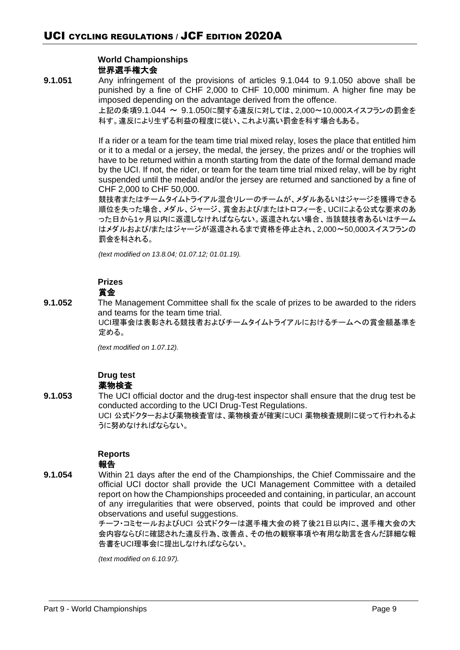# **World Championships** 世界選手権大会

**9.1.051** Any infringement of the provisions of articles 9.1.044 to 9.1.050 above shall be punished by a fine of CHF 2,000 to CHF 10,000 minimum. A higher fine may be imposed depending on the advantage derived from the offence.

上記の条項9.1.044 ~ 9.1.050に関する違反に対しては、2,000~10,000スイスフランの罰金を 科す。違反により生ずる利益の程度に従い、これより高い罰金を科す場合もある。

If a rider or a team for the team time trial mixed relay, loses the place that entitled him or it to a medal or a jersey, the medal, the jersey, the prizes and/ or the trophies will have to be returned within a month starting from the date of the formal demand made by the UCI. If not, the rider, or team for the team time trial mixed relay, will be by right suspended until the medal and/or the jersey are returned and sanctioned by a fine of CHF 2,000 to CHF 50,000.

競技者またはチームタイムトライアル混合リレーのチームが、メダルあるいはジャージを獲得できる 順位を失った場合、メダル、ジャージ、賞金および/またはトロフィーを、UCIによる公式な要求のあ った日から1ヶ月以内に返還しなければならない。返還されない場合、当該競技者あるいはチーム はメダルおよび/またはジャージが返還されるまで資格を停止され、2,000~50,000スイスフランの 罰金を科される。

*(text modified on 13.8.04; 01.07.12; 01.01.19).*

#### **Prizes** 賞金

**9.1.052** The Management Committee shall fix the scale of prizes to be awarded to the riders and teams for the team time trial.

> UCI理事会は表彰される競技者およびチームタイムトライアルにおけるチームへの賞金額基準を 定める。

*(text modified on 1.07.12).*

#### **Drug test** 薬物検査

**9.1.053** The UCI official doctor and the drug-test inspector shall ensure that the drug test be conducted according to the UCI Drug-Test Regulations. UCI 公式ドクターおよび薬物検査官は、薬物検査が確実にUCI 薬物検査規則に従って行われるよ うに努めなければならない。

# **Reports**

# 報告

**9.1.054** Within 21 days after the end of the Championships, the Chief Commissaire and the official UCI doctor shall provide the UCI Management Committee with a detailed report on how the Championships proceeded and containing, in particular, an account of any irregularities that were observed, points that could be improved and other observations and useful suggestions.

> チーフ・コミセールおよびUCI 公式ドクターは選手権大会の終了後21日以内に、選手権大会の大 会内容ならびに確認された違反行為、改善点、その他の観察事項や有用な助言を含んだ詳細な報 告書をUCI理事会に提出しなければならない。

*(text modified on 6.10.97).*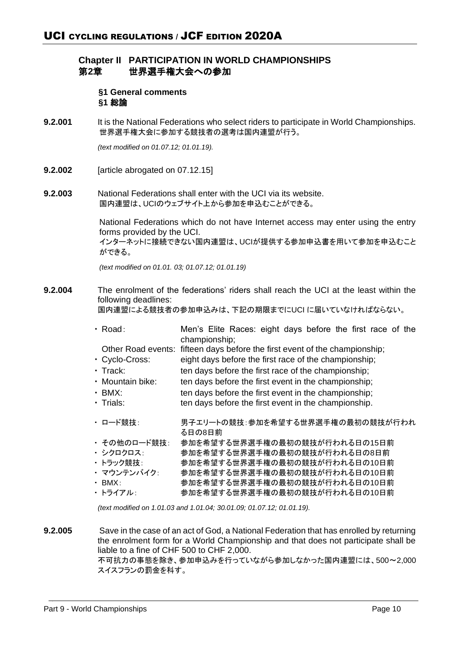# **Chapter II PARTICIPATION IN WORLD CHAMPIONSHIPS** 第**2**章 世界選手権大会への参加

**§1 General comments §1** 総論

**9.2.001** It is the National Federations who select riders to participate in World Championships. 世界選手権大会に参加する競技者の選考は国内連盟が行う。

*(text modified on 01.07.12; 01.01.19).*

**9.2.002** [article abrogated on 07.12.15]

**9.2.003** National Federations shall enter with the UCI via its website. 国内連盟は、UCIのウェブサイト上から参加を申込むことができる。

> National Federations which do not have Internet access may enter using the entry forms provided by the UCI. インターネットに接続できない国内連盟は、UCIが提供する参加申込書を用いて参加を申込むこと ができる。

*(text modified on 01.01. 03; 01.07.12; 01.01.19)*

**9.2.004** The enrolment of the federations' riders shall reach the UCI at the least within the following deadlines:

国内連盟による競技者の参加申込みは、下記の期限までにUCI に届いていなければならない。

- ・ Road: Men's Elite Races: eight days before the first race of the championship;
- Other Road events: fifteen days before the first event of the championship;
- ・ Cyclo-Cross: eight days before the first race of the championship;
- ・ Track: ten days before the first race of the championship;
- Mountain bike: ten days before the first event in the championship;
- BMX: ten days before the first event in the championship;
- ・ Trials: ten days before the first event in the championship.
- ・ ロード競技: 男子エリートの競技:参加を希望する世界選手権の最初の競技が行われ る日の8日前
- ・ その他のロード競技: 参加を希望する世界選手権の最初の競技が行われる日の15日前
- ・ シクロクロス: 参加を希望する世界選手権の最初の競技が行われる日の8日前
- ・ トラック競技: 参加を希望する世界選手権の最初の競技が行われる日の10日前
- ・ マウンテンバイク: 参加を希望する世界選手権の最初の競技が行われる日の10日前 ・ BMX: 参加を希望する世界選手権の最初の競技が行われる日の10日前
- ・ トライアル: 参加を希望する世界選手権の最初の競技が行われる日の10日前

*(text modified on 1.01.03 and 1.01.04; 30.01.09; 01.07.12; 01.01.19).*

**9.2.005** Save in the case of an act of God, a National Federation that has enrolled by returning the enrolment form for a World Championship and that does not participate shall be liable to a fine of CHF 500 to CHF 2,000.

不可抗力の事態を除き、参加申込みを行っていながら参加しなかった国内連盟には、500~2,000 スイスフランの罰金を科す。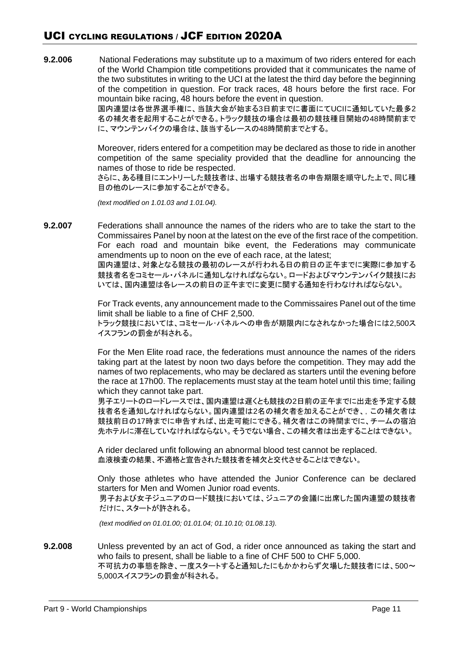# UCI CYCLING REGULATIONS / JCF EDITION 2020A

**9.2.006** National Federations may substitute up to a maximum of two riders entered for each of the World Champion title competitions provided that it communicates the name of the two substitutes in writing to the UCI at the latest the third day before the beginning of the competition in question. For track races, 48 hours before the first race. For mountain bike racing, 48 hours before the event in question.

国内連盟は各世界選手権に、当該大会が始まる3日前までに書面にてUCIに通知していた最多2 名の補欠者を起用することができる。トラック競技の場合は最初の競技種目開始の48時間前まで に、マウンテンバイクの場合は、該当するレースの48時間前までとする。

Moreover, riders entered for a competition may be declared as those to ride in another competition of the same speciality provided that the deadline for announcing the names of those to ride be respected.

さらに、ある種目にエントリーした競技者は、出場する競技者名の申告期限を順守した上で、同じ種 目の他のレースに参加することができる。

*(text modified on 1.01.03 and 1.01.04).*

**9.2.007** Federations shall announce the names of the riders who are to take the start to the Commissaires Panel by noon at the latest on the eve of the first race of the competition. For each road and mountain bike event, the Federations may communicate amendments up to noon on the eve of each race, at the latest;

国内連盟は、対象となる競技の最初のレースが行われる日の前日の正午までに実際に参加する 競技者名をコミセール・パネルに通知しなければならない。ロードおよびマウンテンバイク競技にお いては、国内連盟は各レースの前日の正午までに変更に関する通知を行わなければならない。

For Track events, any announcement made to the Commissaires Panel out of the time limit shall be liable to a fine of CHF 2,500. トラック競技においては、コミセール・パネルへの申告が期限内になされなかった場合には2,500ス イスフランの罰金が科される。

For the Men Elite road race, the federations must announce the names of the riders taking part at the latest by noon two days before the competition. They may add the names of two replacements, who may be declared as starters until the evening before the race at 17h00. The replacements must stay at the team hotel until this time; failing which they cannot take part.

男子エリートのロードレースでは、国内連盟は遅くとも競技の2日前の正午までに出走を予定する競 技者名を通知しなければならない。国内連盟は2名の補欠者を加えることができ、,この補欠者は 競技前日の17時までに申告すれば、出走可能にできる。補欠者はこの時間までに、チームの宿泊 先ホテルに滞在していなければならない。そうでない場合、この補欠者は出走することはできない。

A rider declared unfit following an abnormal blood test cannot be replaced. 血液検査の結果、不適格と宣告された競技者を補欠と交代させることはできない。

Only those athletes who have attended the Junior Conference can be declared starters for Men and Women Junior road events. 男子および女子ジュニアのロード競技においては、ジュニアの会議に出席した国内連盟の競技者 だけに、スタートが許される。

*(text modified on 01.01.00; 01.01.04; 01.10.10; 01.08.13).*

**9.2.008** Unless prevented by an act of God, a rider once announced as taking the start and who fails to present, shall be liable to a fine of CHF 500 to CHF 5,000. 不可抗力の事態を除き、一度スタートすると通知したにもかかわらず欠場した競技者には、500~ 5,000スイスフランの罰金が科される。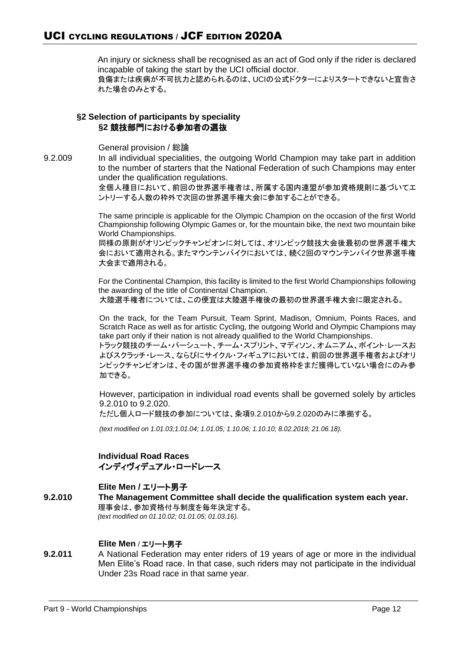An injury or sickness shall be recognised as an act of God only if the rider is declared incapable of taking the start by the UCI official doctor. 負傷または疾病が不可抗力と認められるのは、UCIの公式ドクターによりスタートできないと宣告さ れた場合のみとする。

# **§2 Selection of participants by speciality §2** 競技部門における参加者の選抜

General provision / 総論

9.2.009 In all individual specialities, the outgoing World Champion may take part in addition to the number of starters that the National Federation of such Champions may enter under the qualification regulations.

全個人種目において、前回の世界選手権者は、所属する国内連盟が参加資格規則に基づいてエ ントリーする人数の枠外で次回の世界選手権大会に参加することができる。

The same principle is applicable for the Olympic Champion on the occasion of the first World Championship following Olympic Games or, for the mountain bike, the next two mountain bike World Championships.

同様の原則がオリンピックチャンピオンに対しては、オリンピック競技大会後最初の世界選手権大 会において適用される。またマウンテンバイクにおいては、続く2回のマウンテンバイク世界選手権 大会まで適用される。

For the Continental Champion, this facility is limited to the first World Championships following the awarding of the title of Continental Champion. 大陸選手権者については、この便宜は大陸選手権後の最初の世界選手権大会に限定される。

On the track, for the Team Pursuit, Team Sprint, Madison, Omnium, Points Races, and Scratch Race as well as for artistic Cycling, the outgoing World and Olympic Champions may take part only if their nation is not already qualified to the World Championships. トラック競技のチーム・パーシュート、チーム・スプリント、マディソン、オムニアム、ポイント・レースお よびスクラッチ・レース、ならびにサイクル・フィギュアにおいては、前回の世界選手権者およびオリ ンピックチャンピオンは、その国が世界選手権の参加資格枠をまだ獲得していない場合にのみ参

加できる。

However, participation in individual road events shall be governed solely by articles 9.2.010 to 9.2.020.

ただし個人ロード競技の参加については、条項9.2.010から9.2.020のみに準拠する。

*(text modified on 1.01.03;1.01.04; 1.01.05; 1.10.06; 1.10.10; 8.02.2018; 21.06.18).*

**Individual Road Races** インディヴィデュアル・ロードレース

# **Elite Men /** エリート男子

**9.2.010 The Management Committee shall decide the qualification system each year.**  理事会は、参加資格付与制度を毎年決定する。 *(text modified on 01.10.02; 01.01.05; 01.03.16).*

# **Elite Men /** エリート男子

**9.2.011** A National Federation may enter riders of 19 years of age or more in the individual Men Elite's Road race. In that case, such riders may not participate in the individual Under 23s Road race in that same year.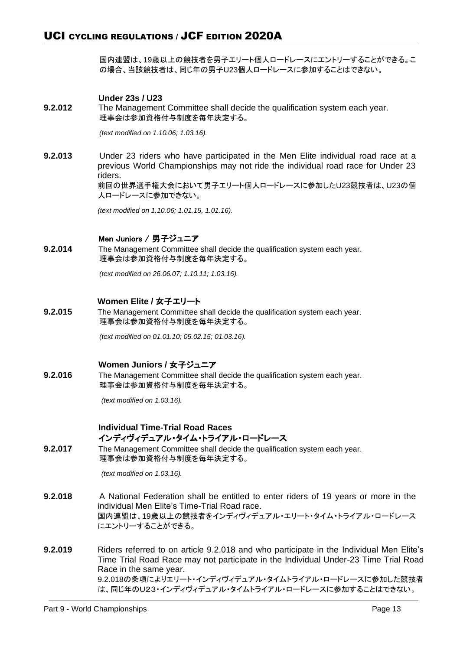国内連盟は、19歳以上の競技者を男子エリート個人ロードレースにエントリーすることができる。こ の場合、当該競技者は、同じ年の男子U23個人ロードレースに参加することはできない。

# **Under 23s / U23**

**9.2.012** The Management Committee shall decide the qualification system each year. 理事会は参加資格付与制度を毎年決定する。

*(text modified on 1.10.06; 1.03.16).*

**9.2.013** Under 23 riders who have participated in the Men Elite individual road race at a previous World Championships may not ride the individual road race for Under 23 riders. 前回の世界選手権大会において男子エリート個人ロードレースに参加したU23競技者は、U23の個

人ロードレースに参加できない。

*(text modified on 1.10.06; 1.01.15, 1.01.16).*

#### Men Juniors / 男子ジュニア

**9.2.014** The Management Committee shall decide the qualification system each year. 理事会は参加資格付与制度を毎年決定する。

*(text modified on 26.06.07; 1.10.11; 1.03.16).*

# **Women Elite /** 女子エリート

**9.2.015** The Management Committee shall decide the qualification system each year. 理事会は参加資格付与制度を毎年決定する。

*(text modified on 01.01.10; 05.02.15; 01.03.16).*

#### **Women Juniors /** 女子ジュニア

**9.2.016** The Management Committee shall decide the qualification system each year. 理事会は参加資格付与制度を毎年決定する。

*(text modified on 1.03.16).*

# **Individual Time-Trial Road Races** インディヴィデュアル・タイム・トライアル・ロードレース

**9.2.017** The Management Committee shall decide the qualification system each year. 理事会は参加資格付与制度を毎年決定する。

*(text modified on 1.03.16).*

- **9.2.018** A National Federation shall be entitled to enter riders of 19 years or more in the individual Men Elite's Time-Trial Road race. 国内連盟は、19歳以上の競技者をインディヴィデュアル・エリート・タイム・トライアル・ロードレース にエントリーすることができる。
- **9.2.019** Riders referred to on article 9.2.018 and who participate in the Individual Men Elite's Time Trial Road Race may not participate in the Individual Under-23 Time Trial Road Race in the same year. 9.2.018の条項によりエリート・インディヴィデュアル・タイムトライアル・ロードレースに参加した競技者 は、同じ年のU23・インディヴィデュアル・タイムトライアル・ロードレースに参加することはできない。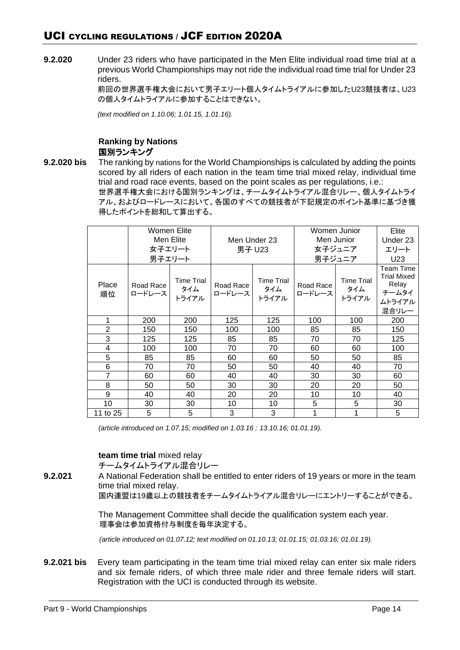**9.2.020** Under 23 riders who have participated in the Men Elite individual road time trial at a previous World Championships may not ride the individual road time trial for Under 23 riders.

> 前回の世界選手権大会において男子エリート個人タイムトライアルに参加したU23競技者は、U23 の個人タイムトライアルに参加することはできない。

*(text modified on 1.10.06; 1.01.15, 1.01.16).*

# **Ranking by Nations** 国別ランキング

**9.2.020 bis** The ranking by nations for the World Championships is calculated by adding the points scored by all riders of each nation in the team time trial mixed relay, individual time trial and road race events, based on the point scales as per regulations, i.e.:

世界選手権大会における国別ランキングは、チームタイムトライアル混合リレー、個人タイムトライ アル、およびロードレースにおいて、各国のすべての競技者が下記規定のポイント基準に基づき獲 得したポイントを総和して算出する。

|                | Women Elite<br>Men Elite<br>女子エリート<br>男子エリート |                                   | Men Under 23<br>男子 U23 |                                   | Men Junior          | Women Junior<br>女子ジュニア<br>男子ジュニア  | Elite<br>Under 23<br>エリート<br>U23                                     |
|----------------|----------------------------------------------|-----------------------------------|------------------------|-----------------------------------|---------------------|-----------------------------------|----------------------------------------------------------------------|
| Place<br>順位    | Road Race<br>ロードレース                          | <b>Time Trial</b><br>タイム<br>トライアル | Road Race<br>ロードレース    | <b>Time Trial</b><br>タイム<br>トライアル | Road Race<br>ロードレース | <b>Time Trial</b><br>タイム<br>トライアル | Team Time<br><b>Trial Mixed</b><br>Relay<br>チームタイ<br>ムトライアル<br>混合リレー |
| 1              | 200                                          | 200                               | 125                    | 125                               | 100                 | 100                               | 200                                                                  |
| $\overline{2}$ | 150                                          | 150                               | 100                    | 100                               | 85                  | 85                                | 150                                                                  |
| 3              | 125                                          | 125                               | 85                     | 85                                | 70                  | 70                                | 125                                                                  |
| 4              | 100                                          | 100                               | 70                     | 70                                | 60                  | 60                                | 100                                                                  |
| 5              | 85                                           | 85                                | 60                     | 60                                | 50                  | 50                                | 85                                                                   |
| 6              | 70                                           | 70                                | 50                     | 50                                | 40                  | 40                                | 70                                                                   |
| $\overline{7}$ | 60                                           | 60                                | 40                     | 40                                | 30                  | 30                                | 60                                                                   |
| 8              | 50                                           | 50                                | 30                     | 30                                | 20                  | 20                                | 50                                                                   |
| 9              | 40                                           | 40                                | 20                     | 20                                | 10                  | 10                                | 40                                                                   |
| 10             | 30                                           | 30                                | 10                     | 10                                | 5                   | 5                                 | 30                                                                   |
| 11 to 25       | 5                                            | 5                                 | 3                      | 3                                 |                     | 1                                 | 5                                                                    |

*(article introduced on 1.07.15; modified on 1.03.16 ; 13.10.16; 01.01.19).*

# **team time trial** mixed relay

チームタイムトライアル混合リレー

**9.2.021** A National Federation shall be entitled to enter riders of 19 years or more in the team time trial mixed relay.

国内連盟は19歳以上の競技者をチームタイムトライアル混合リレーにエントリーすることができる。

The Management Committee shall decide the qualification system each year. 理事会は参加資格付与制度を毎年決定する。

*(article introduced on 01.07.12; text modified on 01.10.13; 01.01.15; 01.03.16; 01.01.19).*

**9.2.021 bis** Every team participating in the team time trial mixed relay can enter six male riders and six female riders, of which three male rider and three female riders will start. Registration with the UCI is conducted through its website.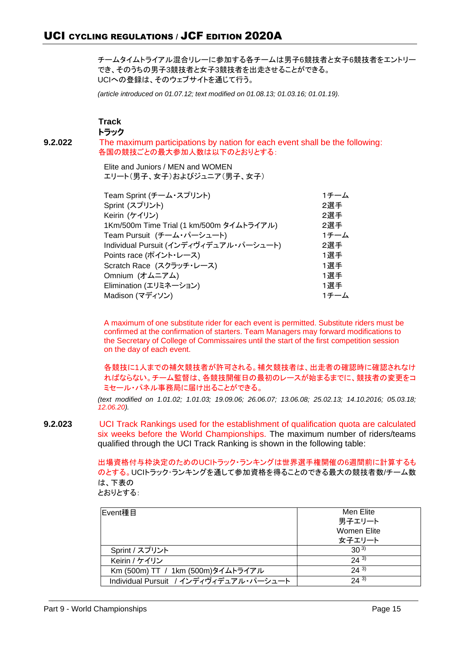チームタイムトライアル混合リレーに参加する各チームは男子6競技者と女子6競技者をエントリー でき、そのうちの男子3競技者と女子3競技者を出走させることができる。 UCIへの登録は、そのウェブサイトを通じて行う。

*(article introduced on 01.07.12; text modified on 01.08.13; 01.03.16; 01.01.19).*

**Track**

トラック

**9.2.022** The maximum participations by nation for each event shall be the following: 各国の競技ごとの最大参加人数は以下のとおりとする:

> Elite and Juniors / MEN and WOMEN エリート(男子、女子)およびジュニア(男子、女子)

| Team Sprint (チーム・スプリント)                  | 1チーム |
|------------------------------------------|------|
| Sprint (スプリント)                           | 2選手  |
| Keirin (ケイリン)                            | 2選手  |
| 1Km/500m Time Trial (1 km/500m タイムトライアル) | 2選手  |
| Team Pursuit (チーム・パーシュート)                | 1チーム |
| Individual Pursuit (インディヴィデュアル・パーシュート)   | 2選手  |
| Points race (ポイント・レース)                   | 1選手  |
| Scratch Race (スクラッチ・レース)                 | 1選手  |
| Omnium (オムニアム)                           | 1選手  |
| Elimination (エリミネーション)                   | 1選手  |
| Madison (マディソン)                          | 1チーム |
|                                          |      |

A maximum of one substitute rider for each event is permitted. Substitute riders must be confirmed at the confirmation of starters. Team Managers may forward modifications to the Secretary of College of Commissaires until the start of the first competition session on the day of each event.

各競技に1人までの補欠競技者が許可される。補欠競技者は、出走者の確認時に確認されなけ ればならない。チーム監督は、各競技開催日の最初のレースが始まるまでに、競技者の変更をコ ミセール・パネル事務局に届け出ることができる。

*(text modified on 1.01.02; 1.01.03; 19.09.06; 26.06.07; 13.06.08; 25.02.13; 14.10.2016; 05.03.18; 12.06.20).*

**9.2.023** UCI Track Rankings used for the establishment of qualification quota are calculated six weeks before the World Championships. The maximum number of riders/teams qualified through the UCI Track Ranking is shown in the following table:

> 出場資格付与枠決定のためのUCIトラック・ランキングは世界選手権開催の6週間前に計算するも のとする。UCIトラック・ランキングを通して参加資格を得ることのできる最大の競技者数/チーム数 は、下表の

とおりとする:

| Event種目                                | Men Elite   |
|----------------------------------------|-------------|
|                                        | 男子エリート      |
|                                        | Women Elite |
|                                        | 女子エリート      |
| Sprint / スプリント                         | $30^{3}$    |
| Keirin / ケイリン                          | $24^{3}$    |
| Km (500m) TT / 1km (500m)タイムトライアル      | 243         |
| Individual Pursuit / インディヴィデュアル・パーシュート | 243         |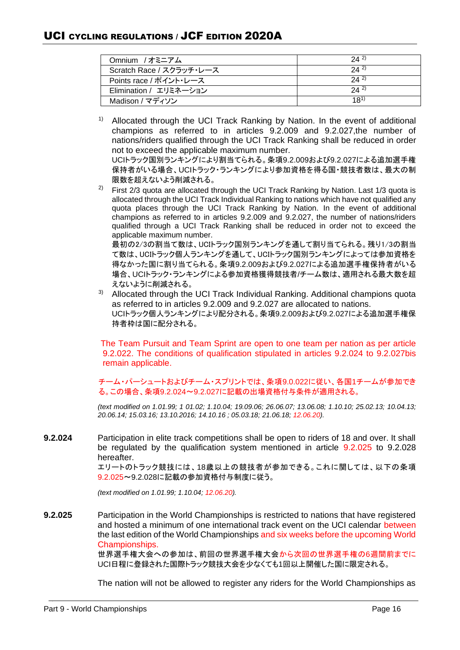| Omnium /オミニアム            | 242      |
|--------------------------|----------|
| Scratch Race / スクラッチ・レース | 242      |
| Points race / ポイント・レース   | 242      |
| Elimination / エリミネーション   | 242      |
| Madison / マディソン          | $18^{1}$ |

<sup>1)</sup> Allocated through the UCI Track Ranking by Nation. In the event of additional champions as referred to in articles 9.2.009 and 9.2.027,the number of nations/riders qualified through the UCI Track Ranking shall be reduced in order not to exceed the applicable maximum number.

UCIトラック国別ランキングにより割当てられる。条項9.2.009および9.2.027による追加選手権 保持者がいる場合、UCIトラック・ランキングにより参加資格を得る国・競技者数は、最大の制 限数を超えないよう削減される。

<sup>2)</sup> First  $2/3$  quota are allocated through the UCI Track Ranking by Nation. Last 1/3 quota is allocated through the UCI Track Individual Ranking to nations which have not qualified any quota places through the UCI Track Ranking by Nation. In the event of additional champions as referred to in articles 9.2.009 and 9.2.027, the number of nations/riders qualified through a UCI Track Ranking shall be reduced in order not to exceed the applicable maximum number.

最初の2/3の割当て数は、UCIトラック国別ランキングを通して割り当てられる。残り1/3の割当 て数は、UCIトラック個人ランキングを通して、UCIトラック国別ランキングによっては参加資格を 得なかった国に割り当てられる。条項9.2.009および9.2.027による追加選手権保持者がいる 場合、UCIトラック・ランキングによる参加資格獲得競技者/チーム数は、適用される最大数を超 えないように削減される。

3) Allocated through the UCI Track Individual Ranking. Additional champions quota as referred to in articles 9.2.009 and 9.2.027 are allocated to nations. UCIトラック個人ランキングにより配分される。条項9.2.009および9.2.027による追加選手権保 持者枠は国に配分される。

The Team Pursuit and Team Sprint are open to one team per nation as per article 9.2.022. The conditions of qualification stipulated in articles 9.2.024 to 9.2.027bis remain applicable.

チーム・パーシュートおよびチーム・スプリントでは、条項9.0.022に従い、各国1チームが参加でき る。この場合、条項9.2.024~9.2.027に記載の出場資格付与条件が適用される。

*(text modified on 1.01.99; 1 01.02; 1.10.04; 19.09.06; 26.06.07; 13.06.08; 1.10.10; 25.02.13; 10.04.13; 20.06.14; 15.03.16; 13.10.2016; 14.10.16 ; 05.03.18; 21.06.18; 12.06.20).*

**9.2.024** Participation in elite track competitions shall be open to riders of 18 and over. It shall be regulated by the qualification system mentioned in article 9.2.025 to 9.2.028 hereafter.

> エリートのトラック競技には、18歳以上の競技者が参加できる。これに関しては、以下の条項 9.2.025~9.2.028に記載の参加資格付与制度に従う。

*(text modified on 1.01.99; 1.10.04; 12.06.20).*

**9.2.025** Participation in the World Championships is restricted to nations that have registered and hosted a minimum of one international track event on the UCI calendar between the last edition of the World Championships and six weeks before the upcoming World Championships.

世界選手権大会への参加は、前回の世界選手権大会から次回の世界選手権の6週間前までに UCI日程に登録された国際トラック競技大会を少なくても1回以上開催した国に限定される。

The nation will not be allowed to register any riders for the World Championships as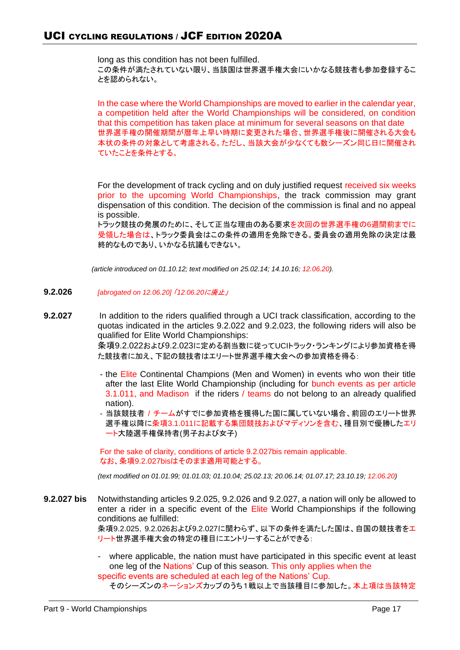long as this condition has not been fulfilled. この条件が満たされていない限り、当該国は世界選手権大会にいかなる競技者も参加登録するこ とを認められない。

In the case where the World Championships are moved to earlier in the calendar year, a competition held after the World Championships will be considered, on condition that this competition has taken place at minimum for several seasons on that date 世界選手権の開催期間が暦年上早い時期に変更された場合、世界選手権後に開催される大会も 本状の条件の対象として考慮される。ただし、当該大会が少なくても数シーズン同じ日に開催され ていたことを条件とする。

For the development of track cycling and on duly justified request received six weeks prior to the upcoming World Championships, the track commission may grant dispensation of this condition. The decision of the commission is final and no appeal is possible.

トラック競技の発展のために、そして正当な理由のある要求を次回の世界選手権の6週間前までに 受領した場合は、トラック委員会はこの条件の適用を免除できる。委員会の適用免除の決定は最 終的なものであり、いかなる抗議もできない。

*(article introduced on 01.10.12; text modified on 25.02.14; 14.10.16; 12.06.20).*

- **9.2.026** *[abrogated on 12.06.20]* 「*12.06.20*に廃止」
- **9.2.027** In addition to the riders qualified through a UCI track classification, according to the quotas indicated in the articles 9.2.022 and 9.2.023, the following riders will also be qualified for Elite World Championships: 条項9.2.022および9.2.023に定める割当数に従ってUCIトラック・ランキングにより参加資格を得

た競技者に加え、下記の競技者はエリート世界選手権大会への参加資格を得る:

- the Elite Continental Champions (Men and Women) in events who won their title after the last Elite World Championship (including for bunch events as per article 3.1.011, and Madison if the riders / teams do not belong to an already qualified nation).
- 当該競技者 / チームがすでに参加資格を獲得した国に属していない場合、前回のエリート世界 選手権以降に条項3.1.011に記載する集団競技およびマディソンを含む、種目別で優勝したエリ ート大陸選手権保持者(男子および女子)

For the sake of clarity, conditions of article 9.2.027bis remain applicable. なお、条項9.2.027bisはそのまま適用可能とする。

*(text modified on 01.01.99; 01.01.03; 01.10.04; 25.02.13; 20.06.14; 01.07.17; 23.10.19; 12.06.20)*

**9.2.027 bis** Notwithstanding articles 9.2.025, 9.2.026 and 9.2.027, a nation will only be allowed to enter a rider in a specific event of the Elite World Championships if the following conditions ae fulfilled:

> 条項9.2.025, 9.2.026および9.2.027に関わらず、以下の条件を満たした国は、自国の競技者をエ リート世界選手権大会の特定の種目にエントリーすることができる:

> where applicable, the nation must have participated in this specific event at least one leg of the Nations' Cup of this season. This only applies when the specific events are scheduled at each leg of the Nations' Cup.

```
そのシーズンのネーションズカップのうち1戦以上で当該種目に参加した。本上項は当該特定
```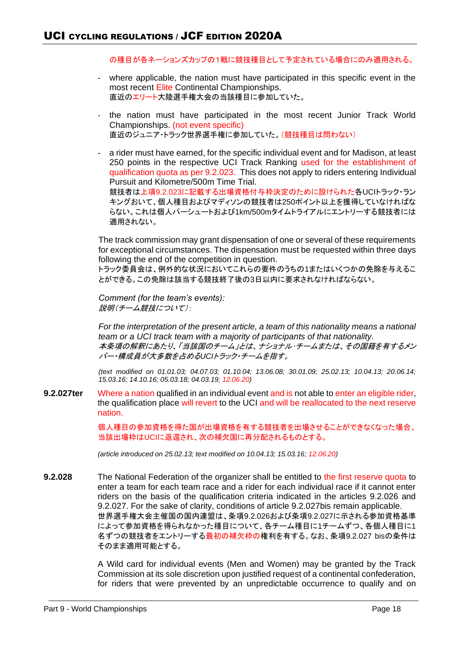の種目が各ネーションズカップの1戦に競技種目として予定されている場合にのみ適用される。

- where applicable, the nation must have participated in this specific event in the most recent Elite Continental Championships. 直近のエリート大陸選手権大会の当該種目に参加していた。
- the nation must have participated in the most recent Junior Track World Championships. (not event specific) 直近のジュニア・トラック世界選手権に参加していた。(競技種目は問わない)
- a rider must have earned, for the specific individual event and for Madison, at least 250 points in the respective UCI Track Ranking used for the establishment of qualification quota as per 9.2.023. This does not apply to riders entering Individual Pursuit and Kilometre/500m Time Trial. 競技者は上項9.2.023に記載する出場資格付与枠決定のために設けられた各UCIトラック・ラン キングおいて、個人種目およびマディソンの競技者は250ポイント以上を獲得していなければな らない。これは個人パーシュートおよび1km/500mタイムトライアルにエントリーする競技者には 適用されない。

The track commission may grant dispensation of one or several of these requirements for exceptional circumstances. The dispensation must be requested within three days following the end of the competition in question.

トラック委員会は、例外的な状況においてこれらの要件のうちの1またはいくつかの免除を与えるこ とができる。この免除は該当する競技終了後の3日以内に要求されなければならない。

*Comment (for the team's events):* 説明(チーム競技について):

*For the interpretation of the present article, a team of this nationality means a national team or a UCI track team with a majority of participants of that nationality.* 本条項の解釈にあたり、「当該国のチーム」とは、ナショナル・チームまたは、その国籍を有するメン バー・構成員が大多数を占める*UCI*トラック・チームを指す。

*(text modified on 01.01.03; 04.07.03; 01.10.04; 13.06.08; 30.01.09; 25.02.13; 10.04.13; 20.06.14; 15.03.16; 14.10.16; 05.03.18; 04.03.19; 12.06.20)*

**9.2.027ter** Where a nation qualified in an individual event and is not able to enter an eligible rider, the qualification place will revert to the UCI and will be reallocated to the next reserve nation.

> 個人種目の参加資格を得た国が出場資格を有する競技者を出場させることができなくなった場合、 当該出場枠はUCIに返還され、次の補欠国に再分配されるものとする。

*(article introduced on 25.02.13; text modified on 10.04.13; 15.03.16; 12.06.20)*

**9.2.028** The National Federation of the organizer shall be entitled to the first reserve quota to enter a team for each team race and a rider for each individual race if it cannot enter riders on the basis of the qualification criteria indicated in the articles 9.2.026 and 9.2.027. For the sake of clarity, conditions of article 9.2.027bis remain applicable. 世界選手権大会主催国の国内連盟は、条項9.2.026および条項9.2.027に示される参加資格基準 によって参加資格を得られなかった種目について、各チーム種目に1チームずつ、各個人種目に1 名ずつの競技者をエントリーする最初の補欠枠の権利を有する。なお、条項9.2.027 bisの条件は そのまま適用可能とする。

> A Wild card for individual events (Men and Women) may be granted by the Track Commission at its sole discretion upon justified request of a continental confederation, for riders that were prevented by an unpredictable occurrence to qualify and on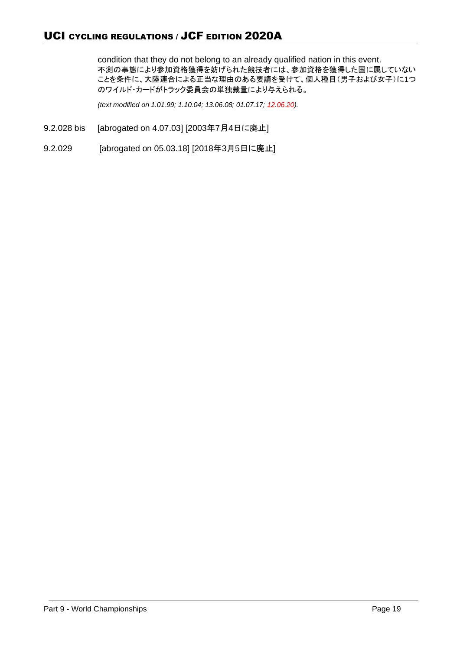condition that they do not belong to an already qualified nation in this event. 不測の事態により参加資格獲得を妨げられた競技者には、参加資格を獲得した国に属していない ことを条件に、大陸連合による正当な理由のある要請を受けて、個人種目(男子および女子)に1つ のワイルド・カードがトラック委員会の単独裁量により与えられる。

*(text modified on 1.01.99; 1.10.04; 13.06.08; 01.07.17; 12.06.20).*

- 9.2.028 bis [abrogated on 4.07.03] [2003年7月4日に廃止]
- 9.2.029 [abrogated on 05.03.18] [2018年3月5日に廃止]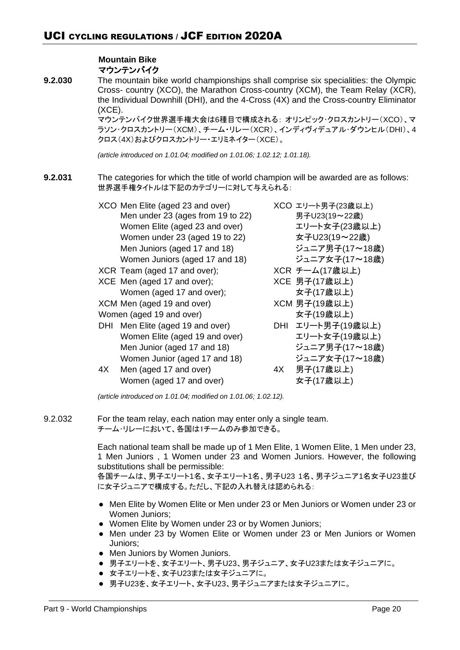# **Mountain Bike** マウンテンバイク

**9.2.030** The mountain bike world championships shall comprise six specialities: the Olympic Cross- country (XCO), the Marathon Cross-country (XCM), the Team Relay (XCR), the Individual Downhill (DHI), and the 4-Cross (4X) and the Cross-country Eliminator (XCE).

> マウンテンバイク世界選手権大会は6種目で構成される: オリンピック・クロスカントリー(XCO)、マ ラソン・クロスカントリー(XCM)、チーム・リレー(XCR)、インディヴィデュアル・ダウンヒル(DHI)、4 クロス(4X)およびクロスカントリー・エリミネイター(XCE)。

*(article introduced on 1.01.04; modified on 1.01.06; 1.02.12; 1.01.18).*

- **9.2.031** The categories for which the title of world champion will be awarded are as follows: 世界選手権タイトルは下記のカテゴリーに対して与えられる:
	- XCO Men Elite (aged 23 and over) XCO エリート男子(23歳以上) Men under 23 (ages from 19 to 22) 男子U23(19~22歳) Women Elite (aged 23 and over) エリート女子(23歳以上) Women under 23 (aged 19 to 22) 女子U23(19~22歳) Men Juniors (aged 17 and 18) ジュニア男子(17~18歳) Women Juniors (aged 17 and 18) ジュニア女子(17~18歳) XCR Team (aged 17 and over); XCR チーム(17歳以上) XCE Men (aged 17 and over); <br> XCE 男子(17歳以上) Women (aged 17 and over);  $\frac{1}{2}$   $\frac{1}{2}$   $\frac{1}{2}$   $\frac{1}{2}$   $\frac{1}{2}$   $\frac{1}{2}$   $\frac{1}{2}$   $\frac{1}{2}$   $\frac{1}{2}$   $\frac{1}{2}$   $\frac{1}{2}$   $\frac{1}{2}$   $\frac{1}{2}$   $\frac{1}{2}$   $\frac{1}{2}$   $\frac{1}{2}$   $\frac{1}{2}$   $\frac{1}{2}$   $\frac{1}{2}$   $\frac{1$ XCM Men (aged 19 and over) XCM 男子(19歳以上) Women (aged 19 and over)  $\star$   $\star$   $\uparrow$  (19歳以上) DHI Men Elite (aged 19 and over) DHI エリート男子(19歳以上) Women Elite (aged 19 and over) エリート女子(19歳以上) Men Junior (aged 17 and 18) ジュニア男子(17~18歳)
		- Women Junior (aged 17 and 18) ジュニア女子(17~18歳)
		- 4X Men (aged 17 and over) 4X 男子(17歳以上)

Women (aged 17 and over)  $\Box$  女子(17歳以上)

*(article introduced on 1.01.04; modified on 1.01.06; 1.02.12).*

9.2.032 For the team relay, each nation may enter only a single team. チーム・リレーにおいて、各国は1チームのみ参加できる。

> Each national team shall be made up of 1 Men Elite, 1 Women Elite, 1 Men under 23, 1 Men Juniors , 1 Women under 23 and Women Juniors. However, the following substitutions shall be permissible:

> 各国チームは、男子エリート1名、女子エリート1名、男子U23 1名、男子ジュニア1名女子U23並び に女子ジュニアで構成する。ただし、下記の入れ替えは認められる:

- Men Elite by Women Elite or Men under 23 or Men Juniors or Women under 23 or Women Juniors;
- Women Elite by Women under 23 or by Women Juniors;
- Men under 23 by Women Elite or Women under 23 or Men Juniors or Women Juniors;
- Men Juniors by Women Juniors.
- 男子エリートを、女子エリート、男子U23、男子ジュニア、女子U23または女子ジュニアに。
- 女子エリートを、女子U23または女子ジュニアに。
- 男子U23を、女子エリート、女子U23、男子ジュニアまたは女子ジュニアに。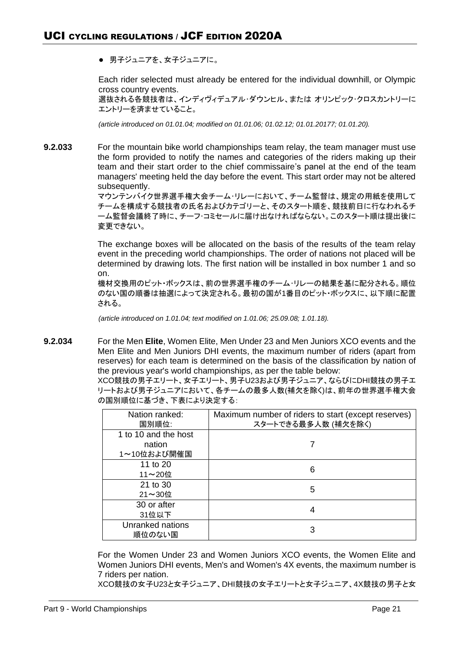● 男子ジュニアを、女子ジュニアに。

Each rider selected must already be entered for the individual downhill, or Olympic cross country events.

選抜される各競技者は、インディヴィデュアル・ダウンヒル、または オリンピック・クロスカントリーに エントリーを済ませていること。

*(article introduced on 01.01.04; modified on 01.01.06; 01.02.12; 01.01.20177; 01.01.20).*

**9.2.033** For the mountain bike world championships team relay, the team manager must use the form provided to notify the names and categories of the riders making up their team and their start order to the chief commissaire's panel at the end of the team managers' meeting held the day before the event. This start order may not be altered subsequently.

> マウンテンバイク世界選手権大会チーム・リレーにおいて、チーム監督は、規定の用紙を使用して チームを構成する競技者の氏名およびカテゴリーと、そのスタート順を、競技前日に行なわれるチ ーム監督会議終了時に、チーフ・コミセールに届け出なければならない。このスタート順は提出後に 変更できない。

> The exchange boxes will be allocated on the basis of the results of the team relay event in the preceding world championships. The order of nations not placed will be determined by drawing lots. The first nation will be installed in box number 1 and so on.

> 機材交換用のピット・ボックスは、前の世界選手権のチーム・リレーの結果を基に配分される。順位 のない国の順番は抽選によって決定される。最初の国が1番目のピット・ボックスに、以下順に配置 される。

*(article introduced on 1.01.04; text modified on 1.01.06; 25.09.08; 1.01.18).*

**9.2.034** For the Men **Elite**, Women Elite, Men Under 23 and Men Juniors XCO events and the Men Elite and Men Juniors DHI events, the maximum number of riders (apart from reserves) for each team is determined on the basis of the classification by nation of the previous year's world championships, as per the table below:

XCO競技の男子エリート、女子エリート、男子U23および男子ジュニア、ならびにDHI競技の男子エ リートおよび男子ジュニアにおいて、各チームの最多人数(補欠を除く)は、前年の世界選手権大会 の国別順位に基づき、下表により決定する:

| Nation ranked:<br>国別順位:                       | Maximum number of riders to start (except reserves)<br>スタートできる最多人数 (補欠を除く) |
|-----------------------------------------------|----------------------------------------------------------------------------|
| 1 to 10 and the host<br>nation<br>1~10位および開催国 |                                                                            |
| 11 to 20<br>11~20位                            | 6                                                                          |
| 21 to 30<br>$21 \sim 30$ 位                    | 5                                                                          |
| 30 or after<br>31位以下                          |                                                                            |
| Unranked nations<br>順位のない国                    | 3                                                                          |

For the Women Under 23 and Women Juniors XCO events, the Women Elite and Women Juniors DHI events, Men's and Women's 4X events, the maximum number is 7 riders per nation.

XCO競技の女子U23と女子ジュニア、DHI競技の女子エリートと女子ジュニア、4X競技の男子と女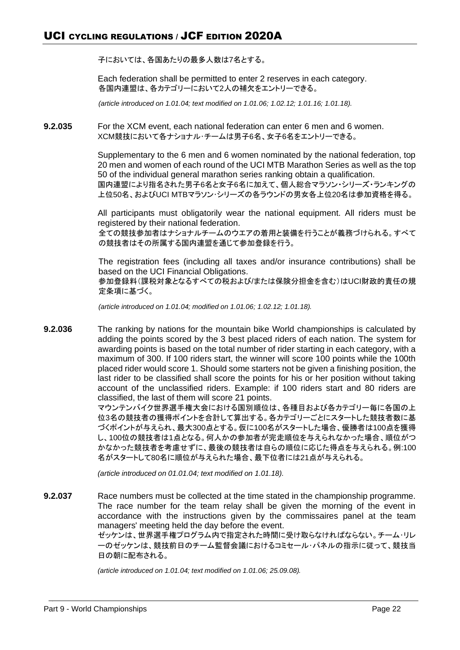子においては、各国あたりの最多人数は7名とする。

Each federation shall be permitted to enter 2 reserves in each category. 各国内連盟は、各カテゴリーにおいて2人の補欠をエントリーできる。

*(article introduced on 1.01.04; text modified on 1.01.06; 1.02.12; 1.01.16; 1.01.18).*

**9.2.035** For the XCM event, each national federation can enter 6 men and 6 women. XCM競技において各ナショナル・チームは男子6名、女子6名をエントリーできる。

> Supplementary to the 6 men and 6 women nominated by the national federation, top 20 men and women of each round of the UCI MTB Marathon Series as well as the top 50 of the individual general marathon series ranking obtain a qualification. 国内連盟により指名された男子6名と女子6名に加えて、個人総合マラソン・シリーズ・ランキングの 上位50名、およびUCI MTBマラソン・シリーズの各ラウンドの男女各上位20名は参加資格を得る。

> All participants must obligatorily wear the national equipment. All riders must be registered by their national federation. 全ての競技参加者はナショナルチームのウエアの着用と装備を行うことが義務づけられる。すべて の競技者はその所属する国内連盟を通じて参加登録を行う。

> The registration fees (including all taxes and/or insurance contributions) shall be based on the UCI Financial Obligations. 参加登録料(課税対象となるすべての税および/または保険分担金を含む)はUCI財政的責任の規 定条項に基づく。

*(article introduced on 1.01.04; modified on 1.01.06; 1.02.12; 1.01.18).*

**9.2.036** The ranking by nations for the mountain bike World championships is calculated by adding the points scored by the 3 best placed riders of each nation. The system for awarding points is based on the total number of rider starting in each category, with a maximum of 300. If 100 riders start, the winner will score 100 points while the 100th placed rider would score 1. Should some starters not be given a finishing position, the last rider to be classified shall score the points for his or her position without taking account of the unclassified riders. Example: if 100 riders start and 80 riders are classified, the last of them will score 21 points.

マウンテンバイク世界選手権大会における国別順位は、各種目および各カテゴリー毎に各国の上 位3名の競技者の獲得ポイントを合計して算出する。各カテゴリーごとにスタートした競技者数に基 づくポイントが与えられ、最大300点とする。仮に100名がスタートした場合、優勝者は100点を獲得 し、100位の競技者は1点となる。何人かの参加者が完走順位を与えられなかった場合、順位がつ かなかった競技者を考慮せずに、最後の競技者は自らの順位に応じた得点を与えられる。例:100 名がスタートして80名に順位が与えられた場合、最下位者には21点が与えられる。

*(article introduced on 01.01.04; text modified on 1.01.18).*

**9.2.037** Race numbers must be collected at the time stated in the championship programme. The race number for the team relay shall be given the morning of the event in accordance with the instructions given by the commissaires panel at the team managers' meeting held the day before the event. ゼッケンは、世界選手権プログラム内で指定された時間に受け取らなければならない。チーム・リレ

ーのゼッケンは、競技前日のチーム監督会議におけるコミセール・パネルの指示に従って、競技当 日の朝に配布される。

*(article introduced on 1.01.04; text modified on 1.01.06; 25.09.08).*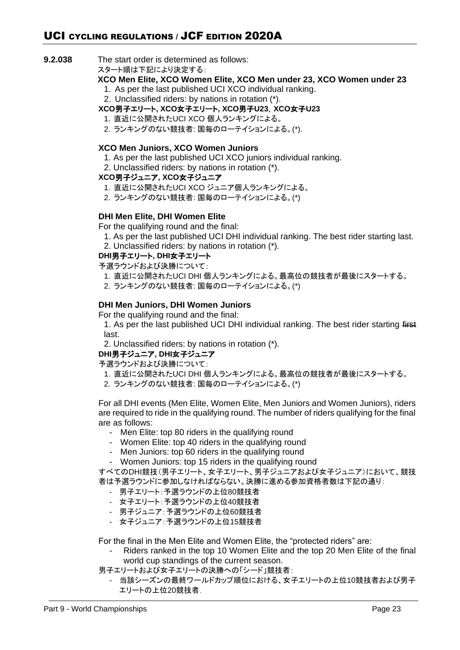**9.2.038** The start order is determined as follows:

スタート順は下記により決定する:

- **XCO Men Elite, XCO Women Elite, XCO Men under 23, XCO Women under 23** 1. As per the last published UCI XCO individual ranking.
	- 2. Unclassified riders: by nations in rotation (\*).

# **XCO**男子エリート**, XCO**女子エリート**, XCO**男子**U23**,**XCO**女子**U23**

- 1. 直近に公開されたUCI XCO 個人ランキングによる。
- 2. ランキングのない競技者: 国毎のローテイションによる。(\*).

# **XCO Men Juniors, XCO Women Juniors**

- 1. As per the last published UCI XCO juniors individual ranking.
- 2. Unclassified riders: by nations in rotation (\*).

# **XCO**男子ジュニア**, XCO**女子ジュニア

- 1. 直近に公開されたUCI XCO ジュニア個人ランキングによる。
- 2. ランキングのない競技者: 国毎のローテイションによる。(\*)

# **DHI Men Elite, DHI Women Elite**

- For the qualifying round and the final:
	- 1. As per the last published UCI DHI individual ranking. The best rider starting last. 2. Unclassified riders: by nations in rotation (\*).
- 

# **DHI**男子エリート**, DHI**女子エリート

予選ラウンドおよび決勝について:

- 1. 直近に公開されたUCI DHI 個人ランキングによる。最高位の競技者が最後にスタートする。
- 2. ランキングのない競技者: 国毎のローテイションによる。(\*)

# **DHI Men Juniors, DHI Women Juniors**

For the qualifying round and the final:

1. As per the last published UCI DHI individual ranking. The best rider starting first last.

2. Unclassified riders: by nations in rotation (\*).

# **DHI**男子ジュニア**, DHI**女子ジュニア

予選ラウンドおよび決勝について:

- 1. 直近に公開されたUCI DHI 個人ランキングによる。最高位の競技者が最後にスタートする。
- 2. ランキングのない競技者: 国毎のローテイションによる。(\*)

For all DHI events (Men Elite, Women Elite, Men Juniors and Women Juniors), riders are required to ride in the qualifying round. The number of riders qualifying for the final are as follows:

- Men Elite: top 80 riders in the qualifying round
- Women Elite: top 40 riders in the qualifying round
- Men Juniors: top 60 riders in the qualifying round
- Women Juniors: top 15 riders in the qualifying round

すべてのDHI競技(男子エリート、女子エリート、男子ジュニアおよび女子ジュニア)において、競技 者は予選ラウンドに参加しなければならない。決勝に進める参加資格者数は下記の通り:

- 男子エリート:予選ラウンドの上位80競技者
- 女子エリート:予選ラウンドの上位40競技者
- 男子ジュニア:予選ラウンドの上位60競技者
- 女子ジュニア:予選ラウンドの上位15競技者

For the final in the Men Elite and Women Elite, the "protected riders" are:

- Riders ranked in the top 10 Women Elite and the top 20 Men Elite of the final world cup standings of the current season.
- 男子エリートおよび女子エリートの決勝への「シード」競技者:
	- 当該シーズンの最終ワールドカップ順位における、女子エリートの上位10競技者および男子 エリートの上位20競技者.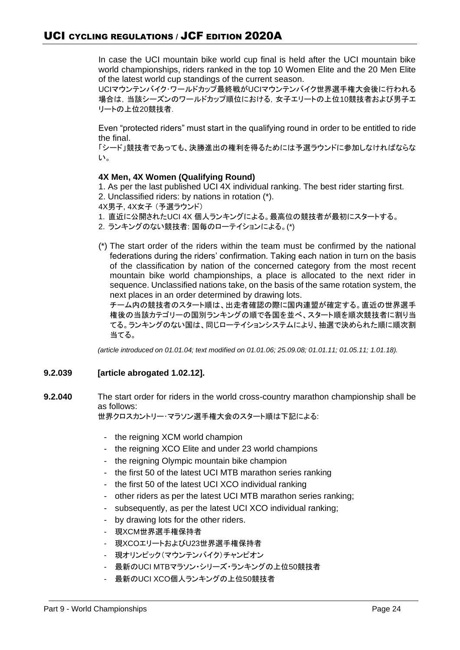In case the UCI mountain bike world cup final is held after the UCI mountain bike world championships, riders ranked in the top 10 Women Elite and the 20 Men Elite of the latest world cup standings of the current season.

UCIマウンテンバイク・ワールドカップ最終戦がUCIマウンテンバイク世界選手権大会後に行われる 場合は,当該シーズンのワールドカップ順位における,女子エリートの上位10競技者および男子エ リートの上位20競技者.

Even "protected riders" must start in the qualifying round in order to be entitled to ride the final.

「シード」競技者であっても、決勝進出の権利を得るためには予選ラウンドに参加しなければならな い。

# **4X Men, 4X Women (Qualifying Round)**

1. As per the last published UCI 4X individual ranking. The best rider starting first.

2. Unclassified riders: by nations in rotation (\*).

4X男子, 4X女子 (予選ラウンド)

- 1. 直近に公開されたUCI 4X 個人ランキングによる。最高位の競技者が最初にスタートする。
- 2. ランキングのない競技者: 国毎のローテイションによる。(\*)
- (\*) The start order of the riders within the team must be confirmed by the national federations during the riders' confirmation. Taking each nation in turn on the basis of the classification by nation of the concerned category from the most recent mountain bike world championships, a place is allocated to the next rider in sequence. Unclassified nations take, on the basis of the same rotation system, the next places in an order determined by drawing lots.

チーム内の競技者のスタート順は、出走者確認の際に国内連盟が確定する。直近の世界選手 権後の当該カテゴリーの国別ランキングの順で各国を並べ、スタート順を順次競技者に割り当 てる。ランキングのない国は、同じローテイションシステムにより、抽選で決められた順に順次割 当てる。

*(article introduced on 01.01.04; text modified on 01.01.06; 25.09.08; 01.01.11; 01.05.11; 1.01.18).*

# **9.2.039 [article abrogated 1.02.12].**

**9.2.040** The start order for riders in the world cross-country marathon championship shall be as follows:

世界クロスカントリー・マラソン選手権大会のスタート順は下記による:

- the reigning XCM world champion
- the reigning XCO Elite and under 23 world champions
- the reigning Olympic mountain bike champion
- the first 50 of the latest UCI MTB marathon series ranking
- the first 50 of the latest UCI XCO individual ranking
- other riders as per the latest UCI MTB marathon series ranking;
- subsequently, as per the latest UCI XCO individual ranking;
- by drawing lots for the other riders.
- 現XCM世界選手権保持者
- 現XCOエリートおよびU23世界選手権保持者
- 現オリンピック(マウンテンバイク)チャンピオン
- 最新のUCI MTBマラソン・シリーズ・ランキングの上位50競技者
- 最新のUCI XCO個人ランキングの上位50競技者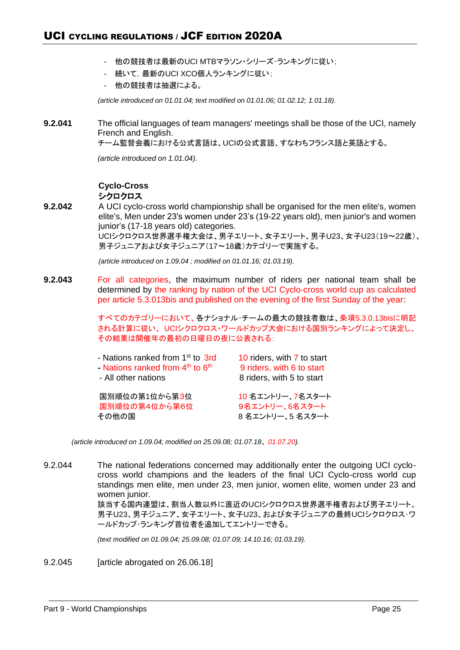- 他の競技者は最新のUCI MTBマラソン・シリーズ・ランキングに従い;
- 続いて,最新のUCI XCO個人ランキングに従い;
- 他の競技者は抽選による。

*(article introduced on 01.01.04; text modified on 01.01.06; 01.02.12; 1.01.18).*

**9.2.041** The official languages of team managers' meetings shall be those of the UCI, namely French and English.

チーム監督会義における公式言語は、UCIの公式言語、すなわちフランス語と英語とする。

*(article introduced on 1.01.04).*

# **Cyclo-Cross** シクロクロス

**9.2.042** A UCI cyclo-cross world championship shall be organised for the men elite's, women elite's, Men under 23's women under 23's (19-22 years old), men junior's and women junior's (17-18 years old) categories. UCIシクロクロス世界選手権大会は、男子エリート、女子エリート、男子U23、女子U23(19~22歳)、 男子ジュニアおよび女子ジュニア(17~18歳)カテゴリーで実施する。

*(article introduced on 1.09.04 ; modified on 01.01.16; 01.03.19).*

**9.2.043** For all categories, the maximum number of riders per national team shall be determined by the ranking by nation of the UCI Cyclo-cross world cup as calculated per article 5.3.013bis and published on the evening of the first Sunday of the year:

> すべてのカテゴリーにおいて、各ナショナル・チームの最大の競技者数は、条項5.3.0.13bisに明記 される計算に従い、 UCIシクロクロス・ワールドカップ大会における国別ランキングによって決定し、 その結果は開催年の最初の日曜日の夜に公表される:

| - Nations ranked from 1 <sup>st</sup> to 3rd | 10 riders, with 7 to start |
|----------------------------------------------|----------------------------|
| - Nations ranked from $4th$ to $6th$         | 9 riders, with 6 to start  |
| - All other nations                          | 8 riders, with 5 to start  |
| 国別順位の第1位から第3位                                | 10 名エントリー、7名スタート           |
| 国別順位の第4位から第6位                                | 9名エントリー、6名スタート             |
| その他の国                                        | 8名エントリー、5名スタート             |

*(article introduced on 1.09.04; modified on 25.09.08; 01.07.18*、 *01.07.20).*

9.2.044 The national federations concerned may additionally enter the outgoing UCI cyclocross world champions and the leaders of the final UCI Cyclo-cross world cup standings men elite, men under 23, men junior, women elite, women under 23 and women junior.

> 該当する国内連盟は、割当人数以外に直近のUCIシクロクロス世界選手権者および男子エリート、 男子U23、男子ジュニア、女子エリート、女子U23、および女子ジュニアの最終UCIシクロクロス・ワ ールドカップ・ランキング首位者を追加してエントリーできる。

*(text modified on 01.09.04; 25.09.08; 01.07.09; 14.10.16; 01.03.19).*

9.2.045 [article abrogated on 26.06.18]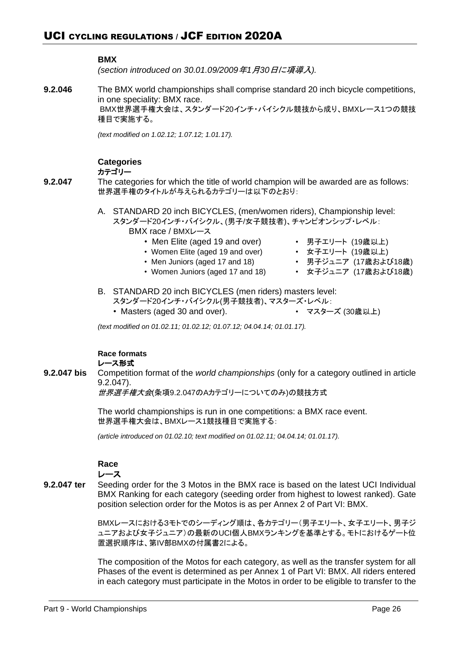# **BMX**

*(section introduced on 30.01.09/2009*年*1*月*30*日に項導入*).*

**9.2.046** The BMX world championships shall comprise standard 20 inch bicycle competitions, in one speciality: BMX race. BMX世界選手権大会は、スタンダード20インチ・バイシクル競技から成り、BMXレース1つの競技 種目で実施する。

*(text modified on 1.02.12; 1.07.12; 1.01.17).*

# **Categories**

カテゴリー

- **9.2.047** The categories for which the title of world champion will be awarded are as follows: 世界選手権のタイトルが与えられるカテゴリーは以下のとおり:
	- A. STANDARD 20 inch BICYCLES, (men/women riders), Championship level: スタンダード20インチ・バイシクル、(男子/女子競技者)、チャンピオンシップ・レベル:
		- BMX race / BMXレース
			- Men Elite (aged 19 and over) 男子エリート (19歳以上)
				-
			- Women Elite (aged 19 and over) 女子エリート (19歳以上)
				-
			- Men Juniors (aged 17 and 18) • 男子ジュニア (17歳および18歳)<br>• Women Juniors (aged 17 and 18) 女子ジュニア (17歳および18歳)

# B. STANDARD 20 inch BICYCLES (men riders) masters level:

• Women Juniors (aged 17 and 18)

- スタンダード20インチ・バイシクル(男子競技者)、マスターズ・レベル:
- Masters (aged 30 and over). マスターズ (30歳以上)
- 

*(text modified on 01.02.11; 01.02.12; 01.07.12; 04.04.14; 01.01.17).*

**Race formats** レース形式

**9.2.047 bis** Competition format of the *world championships* (only for a category outlined in article 9.2.047).

世界選手権大会(条項9.2.047のAカテゴリーについてのみ)の競技方式

The world championships is run in one competitions: a BMX race event. 世界選手権大会は、BMXレース1競技種目で実施する:

*(article introduced on 01.02.10; text modified on 01.02.11; 04.04.14; 01.01.17).*

# **Race**

# レース

**9.2.047 ter** Seeding order for the 3 Motos in the BMX race is based on the latest UCI Individual BMX Ranking for each category (seeding order from highest to lowest ranked). Gate position selection order for the Motos is as per Annex 2 of Part VI: BMX.

> BMXレースにおける3モトでのシーディング順は、各カテゴリー(男子エリート、女子エリート、男子ジ ュニアおよび女子ジュニア)の最新のUCI個人BMXランキングを基準とする。モトにおけるゲート位 置選択順序は、第IV部BMXの付属書2による。

> The composition of the Motos for each category, as well as the transfer system for all Phases of the event is determined as per Annex 1 of Part VI: BMX. All riders entered in each category must participate in the Motos in order to be eligible to transfer to the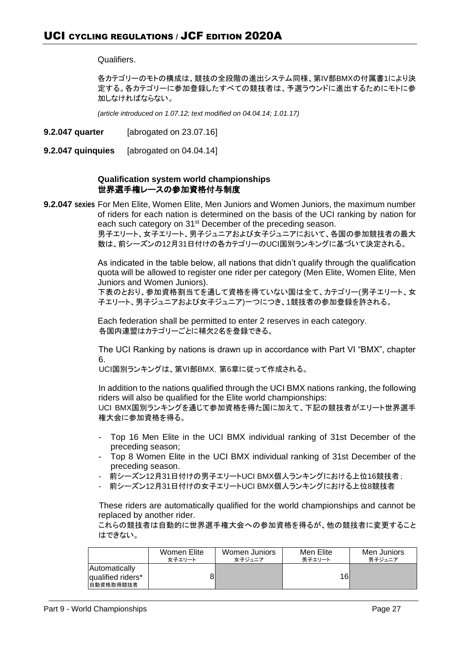Qualifiers.

各カテゴリーのモトの構成は、競技の全段階の進出システム同様、第IV部BMXの付属書1により決 定する。各カテゴリーに参加登録したすべての競技者は、予選ラウンドに進出するためにモトに参 加しなければならない。

*(article introduced on 1.07.12; text modified on 04.04.14; 1.01.17)*

- **9.2.047 quarter** [abrogated on 23.07.16]
- **9.2.047 quinquies** [abrogated on 04.04.14]

# **Qualification system world championships**  世界選手権レースの参加資格付与制度

**9.2.047 sexies** For Men Elite, Women Elite, Men Juniors and Women Juniors, the maximum number of riders for each nation is determined on the basis of the UCI ranking by nation for each such category on 31<sup>st</sup> December of the preceding season. 男子エリート、女子エリート、男子ジュニアおよび女子ジュニアにおいて、各国の参加競技者の最大

数は、前シーズンの12月31日付けの各カテゴリーのUCI国別ランキングに基づいて決定される。

As indicated in the table below, all nations that didn't qualify through the qualification quota will be allowed to register one rider per category (Men Elite, Women Elite, Men Juniors and Women Juniors).

下表のとおり、参加資格割当てを通して資格を得ていない国は全て、カテゴリー(男子エリート、女 子エリート、男子ジュニアおよび女子ジュニア)一つにつき、1競技者の参加登録を許される。

Each federation shall be permitted to enter 2 reserves in each category. 各国内連盟はカテゴリーごとに補欠2名を登録できる。

The UCI Ranking by nations is drawn up in accordance with Part VI "BMX", chapter 6.

UCI国別ランキングは、第VI部BMX,第6章に従って作成される。

In addition to the nations qualified through the UCI BMX nations ranking, the following riders will also be qualified for the Elite world championships: UCI BMX国別ランキングを通じて参加資格を得た国に加えて、下記の競技者がエリート世界選手 権大会に参加資格を得る。

- Top 16 Men Elite in the UCI BMX individual ranking of 31st December of the preceding season;
- Top 8 Women Elite in the UCI BMX individual ranking of 31st December of the preceding season.
- 前シーズン12月31日付けの男子エリートUCI BMX個人ランキングにおける上位16競技者;
- 前シーズン12月31日付けの女子エリートUCI BMX個人ランキングにおける上位8競技者

These riders are automatically qualified for the world championships and cannot be replaced by another rider.

これらの競技者は自動的に世界選手権大会への参加資格を得るが、他の競技者に変更すること はできない。

|                                                        | Women Elite | Women Juniors | Men Elite | Men Juniors |
|--------------------------------------------------------|-------------|---------------|-----------|-------------|
|                                                        | 女子エリート      | 女子ジュニア        | 男子エリート    | 男子ジュニア      |
| <b>Automatically</b><br>qualified riders*<br>自動資格取得競技者 |             |               | 16        |             |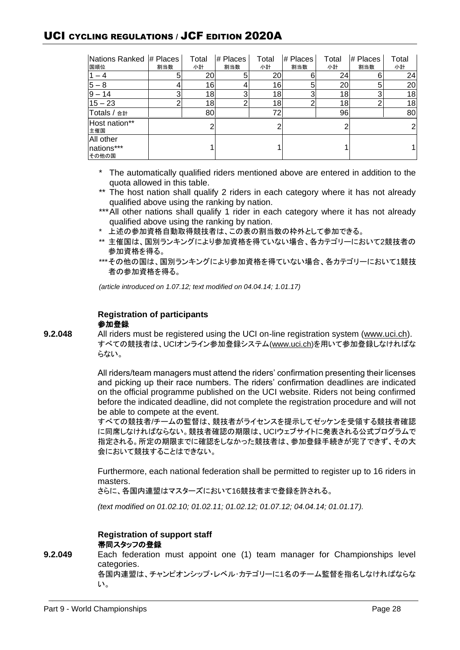# UCI CYCLING REGULATIONS / JCF EDITION 2020A

| Nations Ranked # Places<br>国順位 | 割当数 | Total<br>小計 | # Places<br>割当数 | Total<br>小計 | # Places<br>割当数 | Total<br>小計 | $#$ Places<br>割当数 | Total<br>小計 |
|--------------------------------|-----|-------------|-----------------|-------------|-----------------|-------------|-------------------|-------------|
|                                | 5   | 20          |                 | 20          |                 | 24          | 6                 | 24          |
| $15 -$<br>8                    |     | 16          |                 | 16          | 5               | 20          | 5                 | 20          |
| 14<br>Ι9                       | 3   | 18          |                 | 18          |                 | 18          | 3                 | 18          |
| $15 - 23$                      | ົ   | 18          |                 | 18          |                 | 18          | ⌒                 | 18          |
| Totals / 合計                    |     | 80          |                 | 72          |                 | 96          |                   | 80          |
| Host nation**<br>主催国           |     | 2           |                 |             |                 |             |                   | 21          |
| All other                      |     |             |                 |             |                 |             |                   |             |
| nations***<br>その他の国            |     |             |                 |             |                 |             |                   |             |

- \* The automatically qualified riders mentioned above are entered in addition to the quota allowed in this table.
- \*\* The host nation shall qualify 2 riders in each category where it has not already qualified above using the ranking by nation.
- \*\*\*All other nations shall qualify 1 rider in each category where it has not already qualified above using the ranking by nation.
- \* 上述の参加資格自動取得競技者は、この表の割当数の枠外として参加できる。
- \*\* 主催国は、国別ランキングにより参加資格を得ていない場合、各カテゴリーにおいて2競技者の 参加資格を得る。
- \*\*\*その他の国は、国別ランキングにより参加資格を得ていない場合、各カテゴリーにおいて1競技 者の参加資格を得る。

*(article introduced on 1.07.12; text modified on 04.04.14; 1.01.17)*

#### **Registration of participants** 参加登録

**9.2.048** All riders must be registered using the UCI on-line registration system (www.uci.ch). すべての競技者は、UCIオンライン参加登録システム[\(www.uci.ch\)](http://www.uci.ch/)を用いて参加登録しなければな らない。

> All riders/team managers must attend the riders' confirmation presenting their licenses and picking up their race numbers. The riders' confirmation deadlines are indicated on the official programme published on the UCI website. Riders not being confirmed before the indicated deadline, did not complete the registration procedure and will not be able to compete at the event.

> すべての競技者/チームの監督は、競技者がライセンスを提示してゼッケンを受領する競技者確認 に同席しなければならない。競技者確認の期限は、UCIウェブサイトに発表される公式プログラムで 指定される。所定の期限までに確認をしなかった競技者は、参加登録手続きが完了できず、その大 会において競技することはできない。

> Furthermore, each national federation shall be permitted to register up to 16 riders in masters.

さらに、各国内連盟はマスターズにおいて16競技者まで登録を許される。

*(text modified on 01.02.10; 01.02.11; 01.02.12; 01.07.12; 04.04.14; 01.01.17).*

# **Registration of support staff** 帯同スタッフの登録

**9.2.049** Each federation must appoint one (1) team manager for Championships level categories. 各国内連盟は、チャンピオンシップ・レベル・カテゴリーに1名のチーム監督を指名しなければならな い。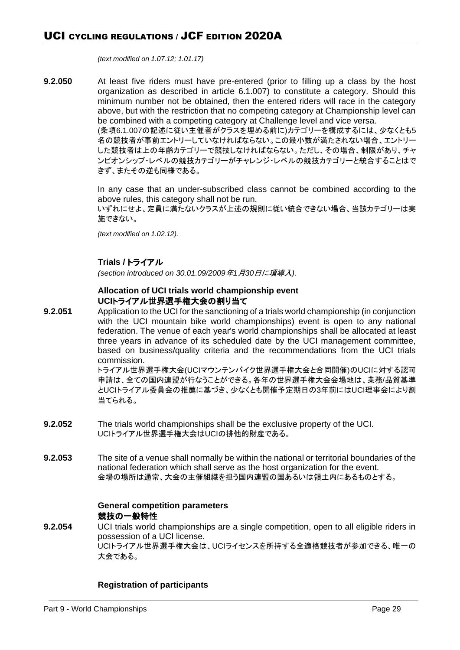*(text modified on 1.07.12; 1.01.17)*

**9.2.050** At least five riders must have pre-entered (prior to filling up a class by the host organization as described in article 6.1.007) to constitute a category. Should this minimum number not be obtained, then the entered riders will race in the category above, but with the restriction that no competing category at Championship level can be combined with a competing category at Challenge level and vice versa. (条項6.1.007の記述に従い主催者がクラスを埋める前に)カテゴリーを構成するには、少なくとも5 名の競技者が事前エントリーしていなければならない。この最小数が満たされない場合、エントリー した競技者は上の年齢カテゴリーで競技しなければならない。ただし、その場合、制限があり、チャ

> ンピオンシップ・レベルの競技カテゴリーがチャレンジ・レベルの競技カテゴリーと統合することはで きず、またその逆も同様である。

> In any case that an under-subscribed class cannot be combined according to the above rules, this category shall not be run.

> いずれにせよ、定員に満たないクラスが上述の規則に従い統合できない場合、当該カテゴリーは実 施できない。

*(text modified on 1.02.12).*

# **Trials /** トライアル

*(section introduced on 30.01.09/2009*年*1*月*30*日に項導入*).*

# **Allocation of UCI trials world championship event UCI**トライアル世界選手権大会の割り当て

**9.2.051** Application to the UCI for the sanctioning of a trials world championship (in conjunction with the UCI mountain bike world championships) event is open to any national federation. The venue of each year's world championships shall be allocated at least three years in advance of its scheduled date by the UCI management committee, based on business/quality criteria and the recommendations from the UCI trials commission.

トライアル世界選手権大会(UCIマウンテンバイク世界選手権大会と合同開催)のUCIに対する認可 申請は、全ての国内連盟が行なうことができる。各年の世界選手権大会会場地は、業務/品質基準 とUCIトライアル委員会の推薦に基づき、少なくとも開催予定期日の3年前にはUCI理事会により割 当てられる。

- **9.2.052** The trials world championships shall be the exclusive property of the UCI. UCIトライアル世界選手権大会はUCIの排他的財産である。
- **9.2.053** The site of a venue shall normally be within the national or territorial boundaries of the national federation which shall serve as the host organization for the event. 会場の場所は通常、大会の主催組織を担う国内連盟の国あるいは領土内にあるものとする。

# **General competition parameters** 競技の一般特性

**9.2.054** UCI trials world championships are a single competition, open to all eligible riders in possession of a UCI license. UCIトライアル世界選手権大会は、UCIライセンスを所持する全適格競技者が参加できる、唯一の 大会である。

# **Registration of participants**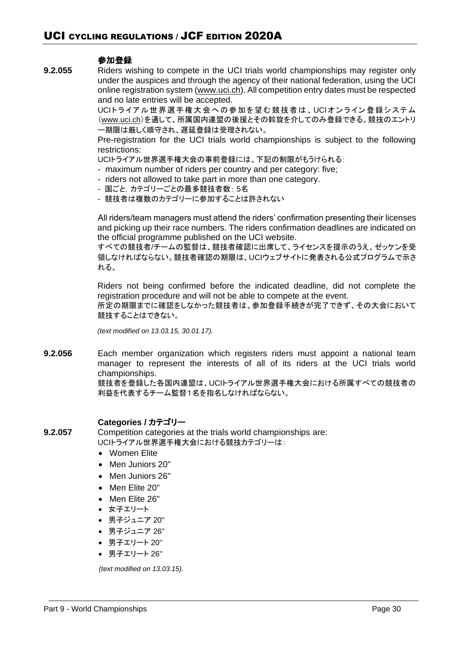# 参加登録

**9.2.055** Riders wishing to compete in the UCI trials world championships may register only under the auspices and through the agency of their national federation, using the UCI online registration system (www.uci.ch). All competition entry dates must be respected and no late entries will be accepted.

> UCIトライアル世界選手権大会への参加を望む競技者は、UCIオンライン登録システム (www.uci.ch)を通して、所属国内連盟の後援とその斡旋を介してのみ登録できる。競技のエントリ ー期限は厳しく順守され、遅延登録は受理されない。

> Pre-registration for the UCI trials world championships is subject to the following restrictions:

UCIトライアル世界選手権大会の事前登録には、下記の制限がもうけられる:

- maximum number of riders per country and per category: five;
- riders not allowed to take part in more than one category.
- 国ごと,カテゴリーごとの最多競技者数: 5名
- 競技者は複数のカテゴリーに参加することは許されない

All riders/team managers must attend the riders' confirmation presenting their licenses and picking up their race numbers. The riders confirmation deadlines are indicated on the official programme published on the UCI website.

すべての競技者/チームの監督は、競技者確認に出席して、ライセンスを提示のうえ、ゼッケンを受 領しなければならない。競技者確認の期限は、UCIウェブサイトに発表される公式プログラムで示さ れる。

Riders not being confirmed before the indicated deadline, did not complete the registration procedure and will not be able to compete at the event. 所定の期限までに確認をしなかった競技者は、参加登録手続きが完了できず、その大会において 競技することはできない。

*(text modified on 13.03.15, 30.01.17).*

**9.2.056** Each member organization which registers riders must appoint a national team manager to represent the interests of all of its riders at the UCI trials world championships.

競技者を登録した各国内連盟は、UCIトライアル世界選手権大会における所属すべての競技者の 利益を代表するチーム監督1名を指名しなければならない。

# **Categories /** カテゴリー

**9.2.057** Competition categories at the trials world championships are: UCIトライアル世界選手権大会における競技カテゴリーは:

- Women Elite
- Men Juniors 20"
- Men Juniors 26"
- Men Elite 20"
- Men Elite 26"
- 女子エリート
- 男子ジュニア 20"
- 男子ジュニア 26"
- 男子エリート 20"
- 男子エリート 26"

*(text modified on 13.03.15).*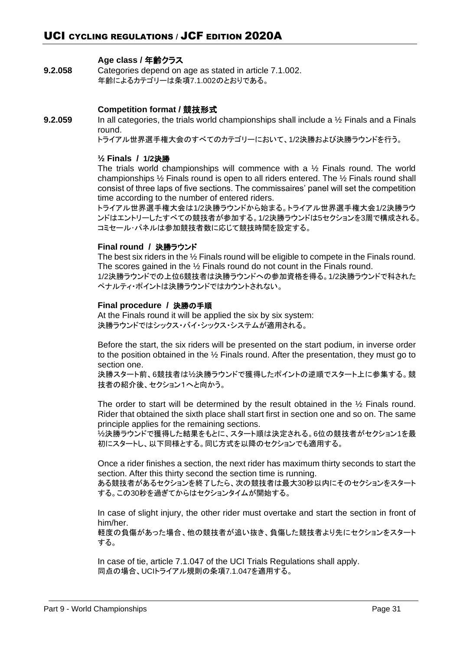# **Age class /** 年齢クラス

**9.2.058** Categories depend on age as stated in article 7.1.002. 年齢によるカテゴリーは条項7.1.002のとおりである。

# **Competition format /** 競技形式

**9.2.059** In all categories, the trials world championships shall include a ½ Finals and a Finals round.

トライアル世界選手権大会のすべてのカテゴリーにおいて、1/2決勝および決勝ラウンドを行う。

#### **½ Finals / 1/2**決勝

The trials world championships will commence with a  $\frac{1}{2}$  Finals round. The world championships ½ Finals round is open to all riders entered. The ½ Finals round shall consist of three laps of five sections. The commissaires' panel will set the competition time according to the number of entered riders.

トライアル世界選手権大会は1/2決勝ラウンドから始まる。トライアル世界選手権大会1/2決勝ラウ ンドはエントリーしたすべての競技者が参加する。1/2決勝ラウンドは5セクションを3周で構成される。 コミセール・パネルは参加競技者数に応じて競技時間を設定する。

# **Final round /** 決勝ラウンド

The best six riders in the ½ Finals round will be eligible to compete in the Finals round. The scores gained in the ½ Finals round do not count in the Finals round. 1/2決勝ラウンドでの上位6競技者は決勝ラウンドへの参加資格を得る。1/2決勝ラウンドで科された ペナルティ・ポイントは決勝ラウンドではカウントされない。

# **Final procedure /** 決勝の手順

At the Finals round it will be applied the six by six system: 決勝ラウンドではシックス・バイ・シックス・システムが適用される。

Before the start, the six riders will be presented on the start podium, in inverse order to the position obtained in the ½ Finals round. After the presentation, they must go to section one.

決勝スタート前、6競技者は½決勝ラウンドで獲得したポイントの逆順でスタート上に参集する。競 技者の紹介後、セクション1へと向かう。

The order to start will be determined by the result obtained in the ½ Finals round. Rider that obtained the sixth place shall start first in section one and so on. The same principle applies for the remaining sections.

½決勝ラウンドで獲得した結果をもとに、スタート順は決定される。6位の競技者がセクション1を最 初にスタートし、以下同様とする。同じ方式を以降のセクションでも適用する。

Once a rider finishes a section, the next rider has maximum thirty seconds to start the section. After this thirty second the section time is running.

ある競技者があるセクションを終了したら、次の競技者は最大30秒以内にそのセクションをスタート する。この30秒を過ぎてからはセクションタイムが開始する。

In case of slight injury, the other rider must overtake and start the section in front of him/her.

軽度の負傷があった場合、他の競技者が追い抜き、負傷した競技者より先にセクションをスタート する。

In case of tie, article 7.1.047 of the UCI Trials Regulations shall apply. 同点の場合、UCIトライアル規則の条項7.1.047を適用する。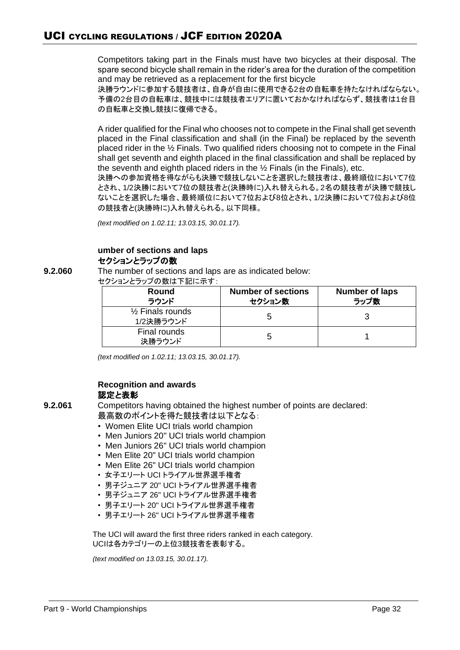Competitors taking part in the Finals must have two bicycles at their disposal. The spare second bicycle shall remain in the rider's area for the duration of the competition and may be retrieved as a replacement for the first bicycle

決勝ラウンドに参加する競技者は、自身が自由に使用できる2台の自転車を持たなければならない。 予備の2台目の自転車は、競技中には競技者エリアに置いておかなければならず、競技者は1台目 の自転車と交換し競技に復帰できる。

A rider qualified for the Final who chooses not to compete in the Final shall get seventh placed in the Final classification and shall (in the Final) be replaced by the seventh placed rider in the ½ Finals. Two qualified riders choosing not to compete in the Final shall get seventh and eighth placed in the final classification and shall be replaced by the seventh and eighth placed riders in the ½ Finals (in the Finals), etc.

決勝への参加資格を得ながらも決勝で競技しないことを選択した競技者は、最終順位において7位 とされ、1/2決勝において7位の競技者と(決勝時に)入れ替えられる。2名の競技者が決勝で競技し ないことを選択した場合、最終順位において7位および8位とされ、1/2決勝において7位および8位 の競技者と(決勝時に)入れ替えられる。以下同様。

*(text modified on 1.02.11; 13.03.15, 30.01.17).*

# **umber of sections and laps** セクションとラップの数

**9.2.060** The number of sections and laps are as indicated below:

セクションとラップの数は下記に示す:

| Round<br>ラウンド                            | <b>Number of sections</b><br>セクション数 | <b>Number of laps</b><br>ラップ数 |
|------------------------------------------|-------------------------------------|-------------------------------|
| $\frac{1}{2}$ Finals rounds<br>1/2決勝ラウンド |                                     |                               |
| Final rounds<br>決勝ラウンド                   |                                     |                               |

*(text modified on 1.02.11; 13.03.15, 30.01.17).*

# **Recognition and awards** 認定と表彰

**9.2.061** Competitors having obtained the highest number of points are declared: 最高数のポイントを得た競技者は以下となる:

- Women Elite UCI trials world champion
- Men Juniors 20" UCI trials world champion
- Men Juniors 26" UCI trials world champion
- Men Elite 20" UCI trials world champion
- Men Elite 26" UCI trials world champion
- 女子エリート UCI トライアル世界選手権者
- 男子ジュニア 20" UCI トライアル世界選手権者
- 男子ジュニア 26" UCI トライアル世界選手権者
- 男子エリート 20" UCI トライアル世界選手権者
- 男子エリート 26" UCI トライアル世界選手権者

The UCI will award the first three riders ranked in each category. UCIは各カテゴリーの上位3競技者を表彰する。

*(text modified on 13.03.15, 30.01.17).*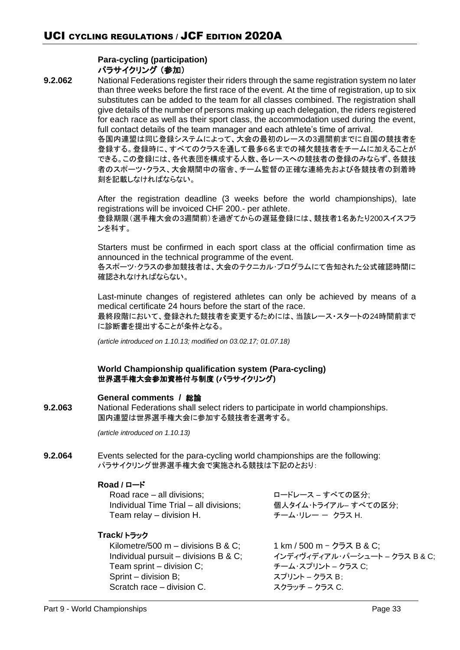# **Para-cycling (participation)** パラサイクリング (参加)

**9.2.062** National Federations register their riders through the same registration system no later than three weeks before the first race of the event. At the time of registration, up to six substitutes can be added to the team for all classes combined. The registration shall give details of the number of persons making up each delegation, the riders registered for each race as well as their sport class, the accommodation used during the event, full contact details of the team manager and each athlete's time of arrival.

> 各国内連盟は同じ登録システムによって、大会の最初のレースの3週間前までに自国の競技者を 登録する。登録時に、すべてのクラスを通して最多6名までの補欠競技者をチームに加えることが できる。この登録には、各代表団を構成する人数、各レースへの競技者の登録のみならず、各競技 者のスポーツ・クラス、大会期間中の宿舎、チーム監督の正確な連絡先および各競技者の到着時 刻を記載しなければならない。

> After the registration deadline (3 weeks before the world championships), late registrations will be invoiced CHF 200.- per athlete. 登録期限(選手権大会の3週間前)を過ぎてからの遅延登録には、競技者1名あたり200スイスフラ ンを科す。

> Starters must be confirmed in each sport class at the official confirmation time as announced in the technical programme of the event.

> 各スポーツ・クラスの参加競技者は、大会のテクニカル・プログラムにて告知された公式確認時間に 確認されなければならない。

> Last-minute changes of registered athletes can only be achieved by means of a medical certificate 24 hours before the start of the race. 最終段階において、登録された競技者を変更するためには、当該レース・スタートの24時間前まで

> に診断書を提出することが条件となる。

*(article introduced on 1.10.13; modified on 03.02.17; 01.07.18)* 

# **World Championship qualification system (Para-cycling)** 世界選手権大会参加資格付与制度 **(**パラサイクリング**)**

# **General comments /** 総論

**9.2.063** National Federations shall select riders to participate in world championships. 国内連盟は世界選手権大会に参加する競技者を選考する。

*(article introduced on 1.10.13)*

**9.2.064** Events selected for the para-cycling world championships are the following: パラサイクリング世界選手権大会で実施される競技は下記のとおり:

# **Road /** ロード

| Road race – all divisions;             | ロードレース – すべての区分:     |
|----------------------------------------|----------------------|
| Individual Time Trial - all divisions; | 個人タイム・トライアル- すべての区分; |
| Team relay – division H.               | チーム・リレー ー クラス H.     |

# **Track/** トラック

Kilometre/500 m – divisions B & C;  $1 \text{ km}$  / 500 m –  $2\overline{)7}$  B & C; Individual pursuit – divisions B & C; インディヴィディアル・パーシュート – クラス B & C; Team sprint – division C; <br>
Team sprint – division C; Sprint – division B; スプリント – クラス B; Scratch race – division C. スクラッチ – クラス C.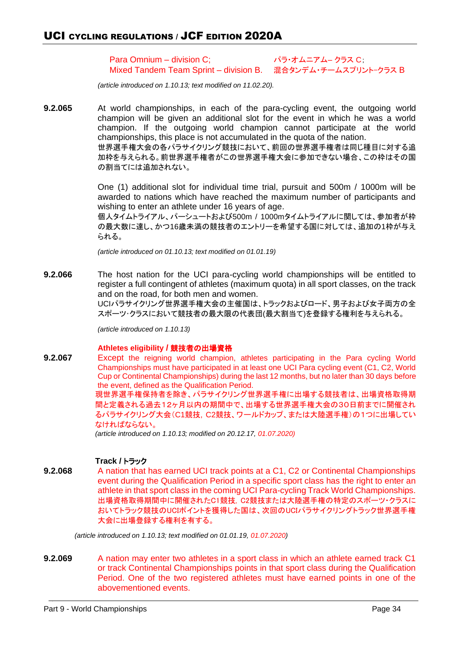Para Omnium – division C; パラ・オムニアム– クラス C; Mixed Tandem Team Sprint – division B. 混合タンデム・チームスプリント–クラス B

*(article introduced on 1.10.13; text modified on 11.02.20).*

**9.2.065** At world championships, in each of the para-cycling event, the outgoing world champion will be given an additional slot for the event in which he was a world champion. If the outgoing world champion cannot participate at the world championships, this place is not accumulated in the quota of the nation. 世界選手権大会の各パラサイクリング競技において、前回の世界選手権者は同じ種目に対する追 加枠を与えられる。前世界選手権者がこの世界選手権大会に参加できない場合、この枠はその国 の割当てには追加されない。

> One (1) additional slot for individual time trial, pursuit and 500m / 1000m will be awarded to nations which have reached the maximum number of participants and wishing to enter an athlete under 16 years of age.

> 個人タイムトライアル、パーシュートおよび500m / 1000mタイムトライアルに関しては、参加者が枠 の最大数に達し、かつ16歳未満の競技者のエントリーを希望する国に対しては、追加の1枠が与え られる。

*(article introduced on 01.10.13; text modified on 01.01.19)*

**9.2.066** The host nation for the UCI para-cycling world championships will be entitled to register a full contingent of athletes (maximum quota) in all sport classes, on the track and on the road, for both men and women.

UCIパラサイクリング世界選手権大会の主催国は、トラックおよびロード、男子および女子両方の全 スポーツ・クラスにおいて競技者の最大限の代表団(最大割当て)を登録する権利を与えられる。

*(article introduced on 1.10.13)*

#### **Athletes eligibility /** 競技者の出場資格

**9.2.067** Except the reigning world champion, athletes participating in the Para cycling World Championships must have participated in at least one UCI Para cycling event (C1, C2, World Cup or Continental Championships) during the last 12 months, but no later than 30 days before the event, defined as the Qualification Period.

> 現世界選手権保持者を除き、パラサイクリング世界選手権に出場する競技者は、出場資格取得期 間と定義される過去12ヶ月以内の期間中で、出場する世界選手権大会の30日前までに開催され るパラサイクリング大会(C1競技, C2競技、ワールドカップ、または大陸選手権)の1つに出場してい なければならない。

*(article introduced on 1.10.13; modified on 20.12.17, 01.07.2020)*

# **Track /** トラック

**9.2.068** A nation that has earned UCI track points at a C1, C2 or Continental Championships event during the Qualification Period in a specific sport class has the right to enter an athlete in that sport class in the coming UCI Para-cycling Track World Championships. 出場資格取得期間中に開催されたC1競技, C2競技または大陸選手権の特定のスポーツ・クラスに おいてトラック競技のUCIポイントを獲得した国は、次回のUCIパラサイクリングトラック世界選手権 大会に出場登録する権利を有する。

*(article introduced on 1.10.13; text modified on 01.01.19, 01.07.2020)*

**9.2.069** A nation may enter two athletes in a sport class in which an athlete earned track C1 or track Continental Championships points in that sport class during the Qualification Period. One of the two registered athletes must have earned points in one of the abovementioned events.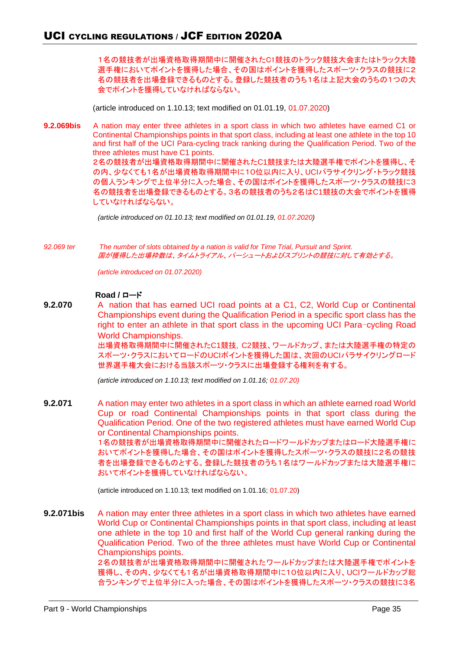1名の競技者が出場資格取得期間中に開催されたC1競技のトラック競技大会またはトラック大陸 選手権においてポイントを獲得した場合、その国はポイントを獲得したスポーツ・クラスの競技に2 名の競技者を出場登録できるものとする。登録した競技者のうち1名は上記大会のうちの1つの大 会でポイントを獲得していなければならない。

(article introduced on 1.10.13; text modified on 01.01.19, 01.07.2020)

**9.2.069bis** A nation may enter three athletes in a sport class in which two athletes have earned C1 or Continental Championships points in that sport class, including at least one athlete in the top 10 and first half of the UCI Para-cycling track ranking during the Qualification Period. Two of the three athletes must have C1 points.

> 2名の競技者が出場資格取得期間中に開催されたC1競技または大陸選手権でポイントを獲得し、そ の内、少なくても1名が出場資格取得期間中に10位以内に入り、UCIパラサイクリング・トラック競技 の個人ランキングで上位半分に入った場合、その国はポイントを獲得したスポーツ・クラスの競技に3 名の競技者を出場登録できるものとする。3名の競技者のうち2名はC1競技の大会でポイントを獲得 していなければならない。

*(article introduced on 01.10.13; text modified on 01.01.19, 01.07.2020)*

*92.069 ter The number of slots obtained by a nation is valid for Time Trial, Pursuit and Sprint.* 国が獲得した出場枠数は、タイムトライアル、パーシュートおよびスプリントの競技に対して有効とする。

*(article introduced on 01.07.2020)*

#### **Road /** ロード

**9.2.070** A nation that has earned UCI road points at a C1, C2, World Cup or Continental Championships event during the Qualification Period in a specific sport class has the right to enter an athlete in that sport class in the upcoming UCI Para-cycling Road World Championships.

出場資格取得期間中に開催されたC1競技, C2競技、ワールドカップ、または大陸選手権の特定の スポーツ・クラスにおいてロードのUCIポイントを獲得した国は、次回のUCIパラサイクリングロード 世界選手権大会における当該スポーツ・クラスに出場登録する権利を有する。

*(article introduced on 1.10.13; text modified on 1.01.16; 01.07.20)*

**9.2.071** A nation may enter two athletes in a sport class in which an athlete earned road World Cup or road Continental Championships points in that sport class during the Qualification Period. One of the two registered athletes must have earned World Cup or Continental Championships points. 1名の競技者が出場資格取得期間中に開催されたロードワールドカップまたはロード大陸選手権に おいてポイントを獲得した場合、その国はポイントを獲得したスポーツ・クラスの競技に2名の競技 者を出場登録できるものとする。登録した競技者のうち1名はワールドカップまたは大陸選手権に おいてポイントを獲得していなければならない。

(article introduced on 1.10.13; text modified on 1.01.16; 01.07.20)

**9.2.071bis** A nation may enter three athletes in a sport class in which two athletes have earned World Cup or Continental Championships points in that sport class, including at least one athlete in the top 10 and first half of the World Cup general ranking during the Qualification Period. Two of the three athletes must have World Cup or Continental Championships points. 2名の競技者が出場資格取得期間中に開催されたワールドカップまたは大陸選手権でポイントを 獲得し、その内、少なくても1名が出場資格取得期間中に10位以内に入り、UCIワールドカップ総

合ランキングで上位半分に入った場合、その国はポイントを獲得したスポーツ・クラスの競技に3名